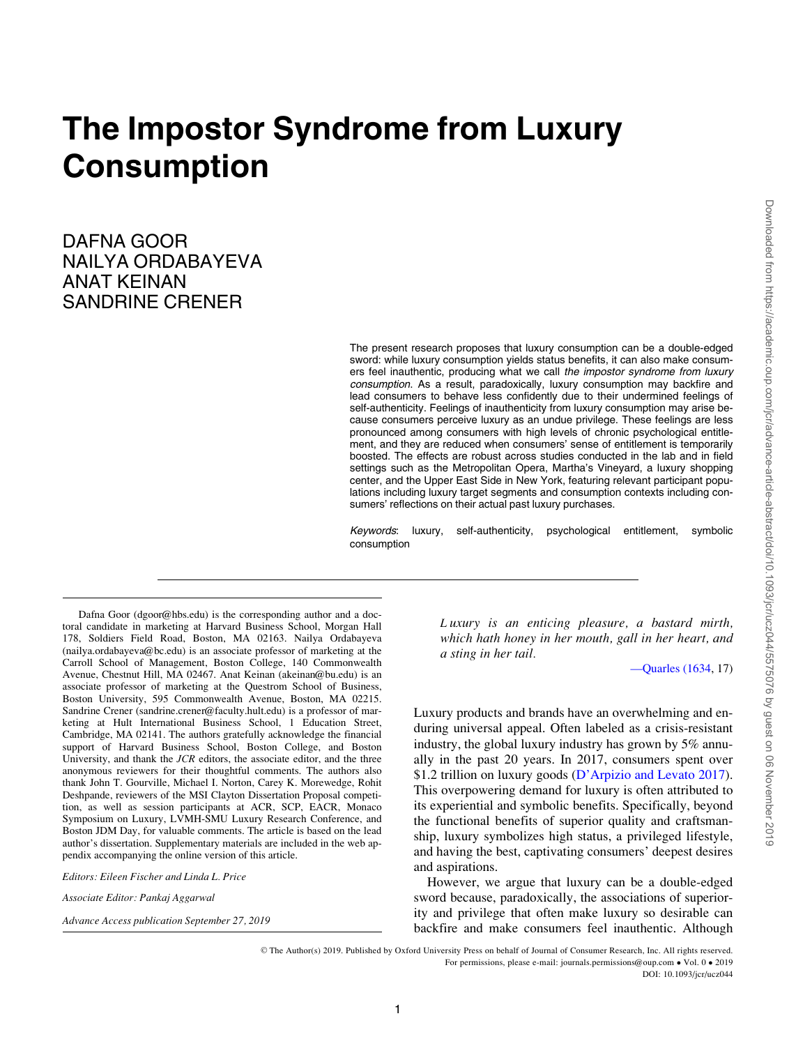# The Impostor Syndrome from Luxury **Consumption**

DAFNA GOOR NAILYA ORDABAYEVA ANAT KEINAN SANDRINE CRENER

> The present research proposes that luxury consumption can be a double-edged sword: while luxury consumption yields status benefits, it can also make consumers feel inauthentic, producing what we call the *impostor syndrome from luxury* consumption. As a result, paradoxically, luxury consumption may backfire and lead consumers to behave less confidently due to their undermined feelings of self-authenticity. Feelings of inauthenticity from luxury consumption may arise because consumers perceive luxury as an undue privilege. These feelings are less pronounced among consumers with high levels of chronic psychological entitlement, and they are reduced when consumers' sense of entitlement is temporarily boosted. The effects are robust across studies conducted in the lab and in field settings such as the Metropolitan Opera, Martha's Vineyard, a luxury shopping center, and the Upper East Side in New York, featuring relevant participant populations including luxury target segments and consumption contexts including consumers' reflections on their actual past luxury purchases.

> Keywords: luxury, self-authenticity, psychological entitlement, symbolic consumption

Dafna Goor (dgoor@hbs.edu) is the corresponding author and a doctoral candidate in marketing at Harvard Business School, Morgan Hall 178, Soldiers Field Road, Boston, MA 02163. Nailya Ordabayeva (nailya.ordabayeva@bc.edu) is an associate professor of marketing at the Carroll School of Management, Boston College, 140 Commonwealth Avenue, Chestnut Hill, MA 02467. Anat Keinan (akeinan@bu.edu) is an associate professor of marketing at the Questrom School of Business, Boston University, 595 Commonwealth Avenue, Boston, MA 02215. Sandrine Crener (sandrine.crener@faculty.hult.edu) is a professor of marketing at Hult International Business School, 1 Education Street, Cambridge, MA 02141. The authors gratefully acknowledge the financial support of Harvard Business School, Boston College, and Boston University, and thank the  $JCR$  editors, the associate editor, and the three anonymous reviewers for their thoughtful comments. The authors also thank John T. Gourville, Michael I. Norton, Carey K. Morewedge, Rohit Deshpande, reviewers of the MSI Clayton Dissertation Proposal competition, as well as session participants at ACR, SCP, EACR, Monaco Symposium on Luxury, LVMH-SMU Luxury Research Conference, and Boston JDM Day, for valuable comments. The article is based on the lead author's dissertation. Supplementary materials are included in the web appendix accompanying the online version of this article.

Editors: Eileen Fischer and Linda L. Price

Associate Editor: Pankaj Aggarwal

Advance Access publication September 27, 2019

L uxury is an enticing pleasure, a bastard mirth, which hath honey in her mouth, gall in her heart, and a sting in her tail.

[—Quarles \(1634](#page-19-0), 17)

Luxury products and brands have an overwhelming and enduring universal appeal. Often labeled as a crisis-resistant industry, the global luxury industry has grown by 5% annually in the past 20 years. In 2017, consumers spent over \$1.2 trillion on luxury goods [\(D'Arpizio and Levato 2017\)](#page-18-0). This overpowering demand for luxury is often attributed to its experiential and symbolic benefits. Specifically, beyond the functional benefits of superior quality and craftsmanship, luxury symbolizes high status, a privileged lifestyle, and having the best, captivating consumers' deepest desires and aspirations.

However, we argue that luxury can be a double-edged sword because, paradoxically, the associations of superiority and privilege that often make luxury so desirable can backfire and make consumers feel inauthentic. Although

DOI: 10.1093/jcr/ucz044

V<sup>C</sup> The Author(s) 2019. Published by Oxford University Press on behalf of Journal of Consumer Research, Inc. All rights reserved. For permissions, please e-mail: journals.permissions@oup.com • Vol. 0 • 2019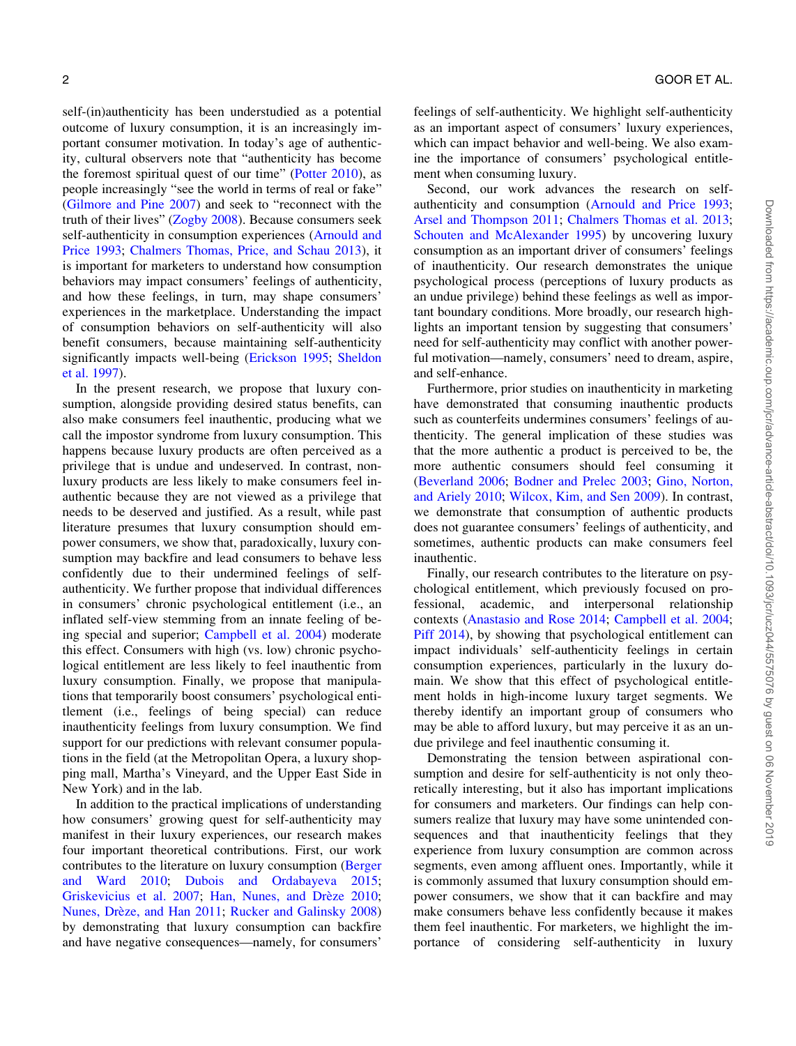self-(in)authenticity has been understudied as a potential outcome of luxury consumption, it is an increasingly important consumer motivation. In today's age of authenticity, cultural observers note that "authenticity has become the foremost spiritual quest of our time" ([Potter 2010\)](#page-19-0), as people increasingly "see the world in terms of real or fake" [\(Gilmore and Pine 2007\)](#page-18-0) and seek to "reconnect with the truth of their lives" [\(Zogby 2008](#page-20-0)). Because consumers seek self-authenticity in consumption experiences ([Arnould and](#page-17-0) [Price 1993;](#page-17-0) [Chalmers Thomas, Price, and Schau 2013\)](#page-18-0), it is important for marketers to understand how consumption behaviors may impact consumers' feelings of authenticity, and how these feelings, in turn, may shape consumers' experiences in the marketplace. Understanding the impact of consumption behaviors on self-authenticity will also benefit consumers, because maintaining self-authenticity significantly impacts well-being [\(Erickson 1995](#page-18-0); [Sheldon](#page-19-0) [et al. 1997\)](#page-19-0).

In the present research, we propose that luxury consumption, alongside providing desired status benefits, can also make consumers feel inauthentic, producing what we call the impostor syndrome from luxury consumption. This happens because luxury products are often perceived as a privilege that is undue and undeserved. In contrast, nonluxury products are less likely to make consumers feel inauthentic because they are not viewed as a privilege that needs to be deserved and justified. As a result, while past literature presumes that luxury consumption should empower consumers, we show that, paradoxically, luxury consumption may backfire and lead consumers to behave less confidently due to their undermined feelings of selfauthenticity. We further propose that individual differences in consumers' chronic psychological entitlement (i.e., an inflated self-view stemming from an innate feeling of being special and superior; [Campbell et al. 2004](#page-18-0)) moderate this effect. Consumers with high (vs. low) chronic psychological entitlement are less likely to feel inauthentic from luxury consumption. Finally, we propose that manipulations that temporarily boost consumers' psychological entitlement (i.e., feelings of being special) can reduce inauthenticity feelings from luxury consumption. We find support for our predictions with relevant consumer populations in the field (at the Metropolitan Opera, a luxury shopping mall, Martha's Vineyard, and the Upper East Side in New York) and in the lab.

In addition to the practical implications of understanding how consumers' growing quest for self-authenticity may manifest in their luxury experiences, our research makes four important theoretical contributions. First, our work contributes to the literature on luxury consumption [\(Berger](#page-17-0) [and Ward 2010](#page-17-0); [Dubois and Ordabayeva 2015;](#page-18-0) [Griskevicius et al. 2007](#page-18-0); Han, Nunes, and Drèze 2010; Nunes, Drèze, and Han 2011; [Rucker and Galinsky 2008](#page-19-0)) by demonstrating that luxury consumption can backfire and have negative consequences—namely, for consumers'

feelings of self-authenticity. We highlight self-authenticity as an important aspect of consumers' luxury experiences, which can impact behavior and well-being. We also examine the importance of consumers' psychological entitlement when consuming luxury.

Second, our work advances the research on selfauthenticity and consumption ([Arnould and Price 1993;](#page-17-0) [Arsel and Thompson 2011;](#page-17-0) [Chalmers Thomas et al. 2013;](#page-18-0) [Schouten and McAlexander 1995](#page-19-0)) by uncovering luxury consumption as an important driver of consumers' feelings of inauthenticity. Our research demonstrates the unique psychological process (perceptions of luxury products as an undue privilege) behind these feelings as well as important boundary conditions. More broadly, our research highlights an important tension by suggesting that consumers' need for self-authenticity may conflict with another powerful motivation—namely, consumers' need to dream, aspire, and self-enhance.

Furthermore, prior studies on inauthenticity in marketing have demonstrated that consuming inauthentic products such as counterfeits undermines consumers' feelings of authenticity. The general implication of these studies was that the more authentic a product is perceived to be, the more authentic consumers should feel consuming it ([Beverland 2006](#page-17-0); [Bodner and Prelec 2003;](#page-17-0) [Gino, Norton,](#page-18-0) [and Ariely 2010](#page-18-0); [Wilcox, Kim, and Sen 2009](#page-20-0)). In contrast, we demonstrate that consumption of authentic products does not guarantee consumers' feelings of authenticity, and sometimes, authentic products can make consumers feel inauthentic.

Finally, our research contributes to the literature on psychological entitlement, which previously focused on professional, academic, and interpersonal relationship contexts ([Anastasio and Rose 2014;](#page-17-0) [Campbell et al. 2004;](#page-18-0) [Piff 2014](#page-19-0)), by showing that psychological entitlement can impact individuals' self-authenticity feelings in certain consumption experiences, particularly in the luxury domain. We show that this effect of psychological entitlement holds in high-income luxury target segments. We thereby identify an important group of consumers who may be able to afford luxury, but may perceive it as an undue privilege and feel inauthentic consuming it.

Demonstrating the tension between aspirational consumption and desire for self-authenticity is not only theoretically interesting, but it also has important implications for consumers and marketers. Our findings can help consumers realize that luxury may have some unintended consequences and that inauthenticity feelings that they experience from luxury consumption are common across segments, even among affluent ones. Importantly, while it is commonly assumed that luxury consumption should empower consumers, we show that it can backfire and may make consumers behave less confidently because it makes them feel inauthentic. For marketers, we highlight the importance of considering self-authenticity in luxury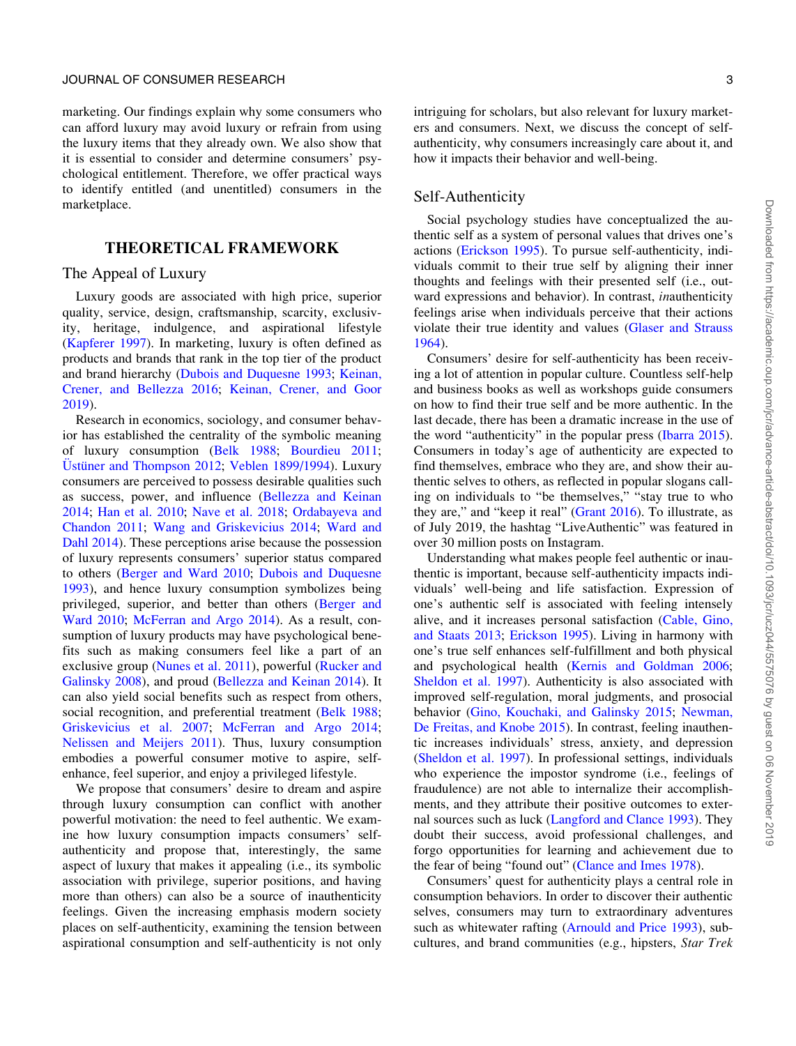#### JOURNAL OF CONSUMER RESEARCH 3 3

marketing. Our findings explain why some consumers who can afford luxury may avoid luxury or refrain from using the luxury items that they already own. We also show that it is essential to consider and determine consumers' psychological entitlement. Therefore, we offer practical ways to identify entitled (and unentitled) consumers in the marketplace.

# THEORETICAL FRAMEWORK

# The Appeal of Luxury

Luxury goods are associated with high price, superior quality, service, design, craftsmanship, scarcity, exclusivity, heritage, indulgence, and aspirational lifestyle [\(Kapferer 1997\)](#page-18-0). In marketing, luxury is often defined as products and brands that rank in the top tier of the product and brand hierarchy [\(Dubois and Duquesne 1993](#page-18-0); [Keinan,](#page-18-0) [Crener, and Bellezza 2016](#page-18-0); [Keinan, Crener, and Goor](#page-18-0) [2019\)](#page-18-0).

Research in economics, sociology, and consumer behavior has established the centrality of the symbolic meaning of luxury consumption [\(Belk 1988;](#page-17-0) [Bourdieu 2011;](#page-17-0) Üstüner and Thompson 2012; [Veblen 1899/1994\)](#page-20-0). Luxury consumers are perceived to possess desirable qualities such as success, power, and influence ([Bellezza and Keinan](#page-17-0) [2014;](#page-17-0) [Han et al. 2010;](#page-18-0) [Nave et al. 2018;](#page-19-0) [Ordabayeva and](#page-19-0) [Chandon 2011](#page-19-0); [Wang and Griskevicius 2014](#page-20-0); [Ward and](#page-20-0) [Dahl 2014\)](#page-20-0). These perceptions arise because the possession of luxury represents consumers' superior status compared to others ([Berger and Ward 2010](#page-17-0); [Dubois and Duquesne](#page-18-0) [1993\)](#page-18-0), and hence luxury consumption symbolizes being privileged, superior, and better than others ([Berger and](#page-17-0) [Ward 2010](#page-17-0); [McFerran and Argo 2014](#page-19-0)). As a result, consumption of luxury products may have psychological benefits such as making consumers feel like a part of an exclusive group [\(Nunes et al. 2011](#page-19-0)), powerful [\(Rucker and](#page-19-0) [Galinsky 2008](#page-19-0)), and proud ([Bellezza and Keinan 2014](#page-17-0)). It can also yield social benefits such as respect from others, social recognition, and preferential treatment ([Belk 1988;](#page-17-0) [Griskevicius et al. 2007](#page-18-0); [McFerran and Argo 2014;](#page-19-0) [Nelissen and Meijers 2011\)](#page-19-0). Thus, luxury consumption embodies a powerful consumer motive to aspire, selfenhance, feel superior, and enjoy a privileged lifestyle.

We propose that consumers' desire to dream and aspire through luxury consumption can conflict with another powerful motivation: the need to feel authentic. We examine how luxury consumption impacts consumers' selfauthenticity and propose that, interestingly, the same aspect of luxury that makes it appealing (i.e., its symbolic association with privilege, superior positions, and having more than others) can also be a source of inauthenticity feelings. Given the increasing emphasis modern society places on self-authenticity, examining the tension between aspirational consumption and self-authenticity is not only intriguing for scholars, but also relevant for luxury marketers and consumers. Next, we discuss the concept of selfauthenticity, why consumers increasingly care about it, and how it impacts their behavior and well-being.

## Self-Authenticity

Social psychology studies have conceptualized the authentic self as a system of personal values that drives one's actions ([Erickson 1995](#page-18-0)). To pursue self-authenticity, individuals commit to their true self by aligning their inner thoughts and feelings with their presented self (i.e., outward expressions and behavior). In contrast, inauthenticity feelings arise when individuals perceive that their actions violate their true identity and values ([Glaser and Strauss](#page-18-0) [1964\)](#page-18-0).

Consumers' desire for self-authenticity has been receiving a lot of attention in popular culture. Countless self-help and business books as well as workshops guide consumers on how to find their true self and be more authentic. In the last decade, there has been a dramatic increase in the use of the word "authenticity" in the popular press ([Ibarra 2015\)](#page-18-0). Consumers in today's age of authenticity are expected to find themselves, embrace who they are, and show their authentic selves to others, as reflected in popular slogans calling on individuals to "be themselves," "stay true to who they are," and "keep it real" ([Grant 2016\)](#page-18-0). To illustrate, as of July 2019, the hashtag "LiveAuthentic" was featured in over 30 million posts on Instagram.

Understanding what makes people feel authentic or inauthentic is important, because self-authenticity impacts individuals' well-being and life satisfaction. Expression of one's authentic self is associated with feeling intensely alive, and it increases personal satisfaction [\(Cable, Gino,](#page-17-0) [and Staats 2013](#page-17-0); [Erickson 1995\)](#page-18-0). Living in harmony with one's true self enhances self-fulfillment and both physical and psychological health ([Kernis and Goldman 2006;](#page-18-0) [Sheldon et al. 1997](#page-19-0)). Authenticity is also associated with improved self-regulation, moral judgments, and prosocial behavior [\(Gino, Kouchaki, and Galinsky 2015;](#page-18-0) [Newman,](#page-19-0) [De Freitas, and Knobe 2015](#page-19-0)). In contrast, feeling inauthentic increases individuals' stress, anxiety, and depression ([Sheldon et al. 1997](#page-19-0)). In professional settings, individuals who experience the impostor syndrome (i.e., feelings of fraudulence) are not able to internalize their accomplishments, and they attribute their positive outcomes to external sources such as luck [\(Langford and Clance 1993](#page-19-0)). They doubt their success, avoid professional challenges, and forgo opportunities for learning and achievement due to the fear of being "found out" ([Clance and Imes 1978](#page-18-0)).

Consumers' quest for authenticity plays a central role in consumption behaviors. In order to discover their authentic selves, consumers may turn to extraordinary adventures such as whitewater rafting ([Arnould and Price 1993](#page-17-0)), subcultures, and brand communities (e.g., hipsters, Star Trek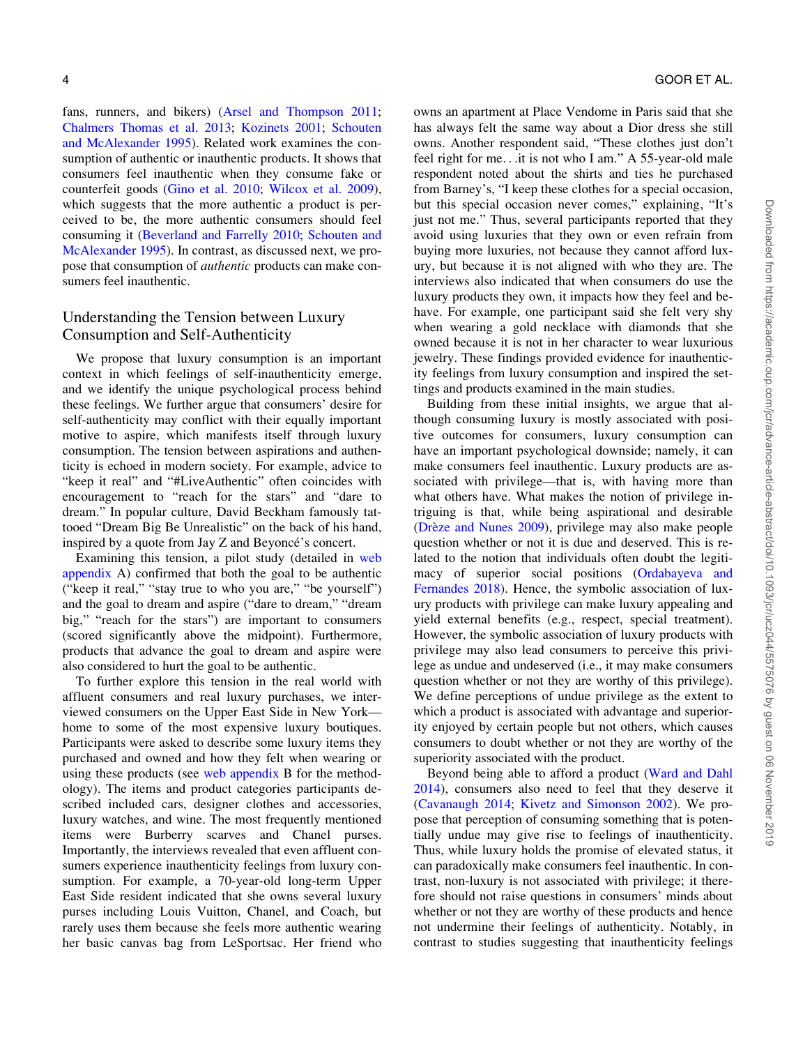fans, runners, and bikers) ([Arsel and Thompson 2011;](#page-17-0) [Chalmers Thomas et al. 2013](#page-18-0); [Kozinets 2001;](#page-19-0) [Schouten](#page-19-0) [and McAlexander 1995](#page-19-0)). Related work examines the consumption of authentic or inauthentic products. It shows that consumers feel inauthentic when they consume fake or counterfeit goods [\(Gino et al. 2010](#page-18-0); [Wilcox et al. 2009\)](#page-20-0), which suggests that the more authentic a product is perceived to be, the more authentic consumers should feel consuming it [\(Beverland and Farrelly 2010](#page-17-0); [Schouten and](#page-19-0) [McAlexander 1995](#page-19-0)). In contrast, as discussed next, we propose that consumption of authentic products can make consumers feel inauthentic.

# Understanding the Tension between Luxury Consumption and Self-Authenticity

We propose that luxury consumption is an important context in which feelings of self-inauthenticity emerge, and we identify the unique psychological process behind these feelings. We further argue that consumers' desire for self-authenticity may conflict with their equally important motive to aspire, which manifests itself through luxury consumption. The tension between aspirations and authenticity is echoed in modern society. For example, advice to "keep it real" and "#LiveAuthentic" often coincides with encouragement to "reach for the stars" and "dare to dream." In popular culture, David Beckham famously tattooed "Dream Big Be Unrealistic" on the back of his hand, inspired by a quote from Jay Z and Beyoncé's concert.

Examining this tension, a pilot study (detailed in [web](https://academic.oup.com/jcr/article-lookup/doi/10.1093/jcr/ucz044#supplementary-data) [appendix](https://academic.oup.com/jcr/article-lookup/doi/10.1093/jcr/ucz044#supplementary-data) A) confirmed that both the goal to be authentic ("keep it real," "stay true to who you are," "be yourself") and the goal to dream and aspire ("dare to dream," "dream big," "reach for the stars") are important to consumers (scored significantly above the midpoint). Furthermore, products that advance the goal to dream and aspire were also considered to hurt the goal to be authentic.

To further explore this tension in the real world with affluent consumers and real luxury purchases, we interviewed consumers on the Upper East Side in New York home to some of the most expensive luxury boutiques. Participants were asked to describe some luxury items they purchased and owned and how they felt when wearing or using these products (see [web appendix](https://academic.oup.com/jcr/article-lookup/doi/10.1093/jcr/ucz044#supplementary-data) B for the methodology). The items and product categories participants described included cars, designer clothes and accessories, luxury watches, and wine. The most frequently mentioned items were Burberry scarves and Chanel purses. Importantly, the interviews revealed that even affluent consumers experience inauthenticity feelings from luxury consumption. For example, a 70-year-old long-term Upper East Side resident indicated that she owns several luxury purses including Louis Vuitton, Chanel, and Coach, but rarely uses them because she feels more authentic wearing her basic canvas bag from LeSportsac. Her friend who

owns an apartment at Place Vendome in Paris said that she has always felt the same way about a Dior dress she still owns. Another respondent said, "These clothes just don't feel right for me...it is not who I am." A 55-year-old male respondent noted about the shirts and ties he purchased from Barney's, "I keep these clothes for a special occasion, but this special occasion never comes," explaining, "It's just not me." Thus, several participants reported that they avoid using luxuries that they own or even refrain from buying more luxuries, not because they cannot afford luxury, but because it is not aligned with who they are. The interviews also indicated that when consumers do use the luxury products they own, it impacts how they feel and behave. For example, one participant said she felt very shy when wearing a gold necklace with diamonds that she owned because it is not in her character to wear luxurious jewelry. These findings provided evidence for inauthenticity feelings from luxury consumption and inspired the settings and products examined in the main studies.

Building from these initial insights, we argue that although consuming luxury is mostly associated with positive outcomes for consumers, luxury consumption can have an important psychological downside; namely, it can make consumers feel inauthentic. Luxury products are associated with privilege—that is, with having more than what others have. What makes the notion of privilege intriguing is that, while being aspirational and desirable (Drèze and Nunes 2009), privilege may also make people question whether or not it is due and deserved. This is related to the notion that individuals often doubt the legitimacy of superior social positions [\(Ordabayeva and](#page-19-0) [Fernandes 2018](#page-19-0)). Hence, the symbolic association of luxury products with privilege can make luxury appealing and yield external benefits (e.g., respect, special treatment). However, the symbolic association of luxury products with privilege may also lead consumers to perceive this privilege as undue and undeserved (i.e., it may make consumers question whether or not they are worthy of this privilege). We define perceptions of undue privilege as the extent to which a product is associated with advantage and superiority enjoyed by certain people but not others, which causes consumers to doubt whether or not they are worthy of the superiority associated with the product.

Beyond being able to afford a product [\(Ward and Dahl](#page-20-0) [2014\)](#page-20-0), consumers also need to feel that they deserve it ([Cavanaugh 2014](#page-18-0); [Kivetz and Simonson 2002\)](#page-19-0). We propose that perception of consuming something that is potentially undue may give rise to feelings of inauthenticity. Thus, while luxury holds the promise of elevated status, it can paradoxically make consumers feel inauthentic. In contrast, non-luxury is not associated with privilege; it therefore should not raise questions in consumers' minds about whether or not they are worthy of these products and hence not undermine their feelings of authenticity. Notably, in contrast to studies suggesting that inauthenticity feelings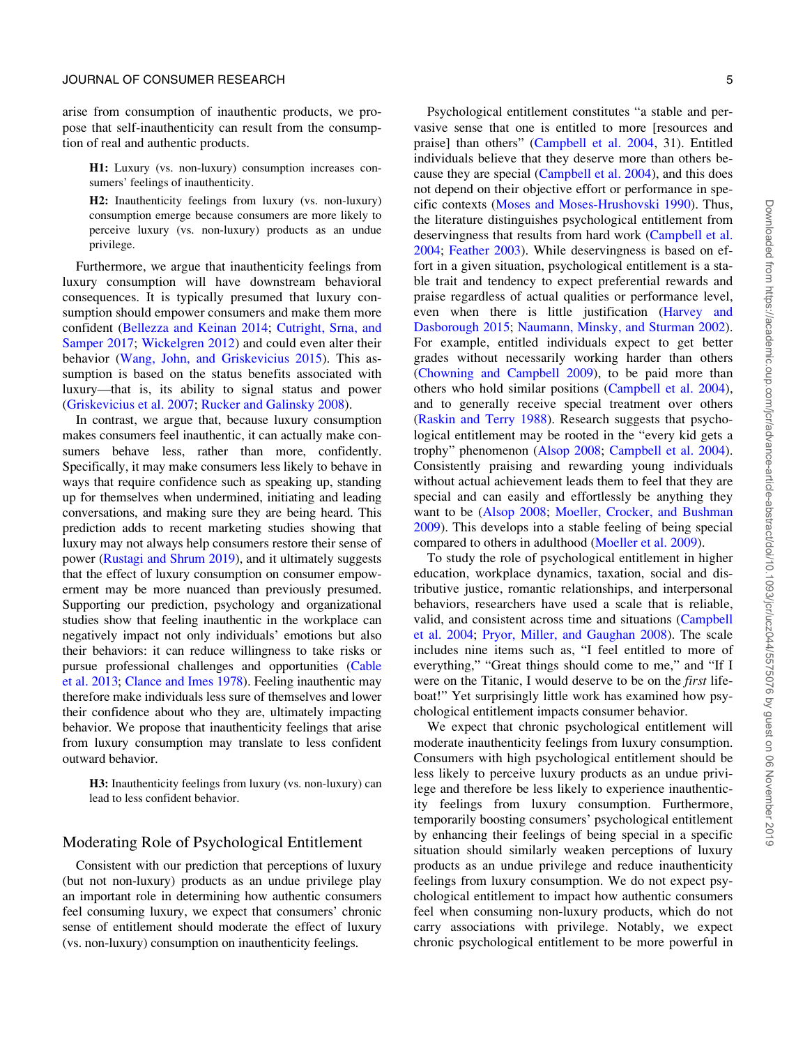#### JOURNAL OF CONSUMER RESEARCH 5 AND 100 SET ON A 1990 STATE OF STATE STATES AND THE STATE OF STATES AND THE STATES OF STATES AND THE STATES OF STATES AND THE STATES OF STATES AND THE STATES OF STATES AND THE STATES OF STATE

arise from consumption of inauthentic products, we propose that self-inauthenticity can result from the consumption of real and authentic products.

H1: Luxury (vs. non-luxury) consumption increases consumers' feelings of inauthenticity.

H2: Inauthenticity feelings from luxury (vs. non-luxury) consumption emerge because consumers are more likely to perceive luxury (vs. non-luxury) products as an undue privilege.

Furthermore, we argue that inauthenticity feelings from luxury consumption will have downstream behavioral consequences. It is typically presumed that luxury consumption should empower consumers and make them more confident ([Bellezza and Keinan 2014;](#page-17-0) [Cutright, Srna, and](#page-18-0) [Samper 2017](#page-18-0); [Wickelgren 2012\)](#page-20-0) and could even alter their behavior ([Wang, John, and Griskevicius 2015](#page-20-0)). This assumption is based on the status benefits associated with luxury—that is, its ability to signal status and power [\(Griskevicius et al. 2007](#page-18-0); [Rucker and Galinsky 2008\)](#page-19-0).

In contrast, we argue that, because luxury consumption makes consumers feel inauthentic, it can actually make consumers behave less, rather than more, confidently. Specifically, it may make consumers less likely to behave in ways that require confidence such as speaking up, standing up for themselves when undermined, initiating and leading conversations, and making sure they are being heard. This prediction adds to recent marketing studies showing that luxury may not always help consumers restore their sense of power [\(Rustagi and Shrum 2019\)](#page-19-0), and it ultimately suggests that the effect of luxury consumption on consumer empowerment may be more nuanced than previously presumed. Supporting our prediction, psychology and organizational studies show that feeling inauthentic in the workplace can negatively impact not only individuals' emotions but also their behaviors: it can reduce willingness to take risks or pursue professional challenges and opportunities ([Cable](#page-17-0) [et al. 2013](#page-17-0); [Clance and Imes 1978\)](#page-18-0). Feeling inauthentic may therefore make individuals less sure of themselves and lower their confidence about who they are, ultimately impacting behavior. We propose that inauthenticity feelings that arise from luxury consumption may translate to less confident outward behavior.

H3: Inauthenticity feelings from luxury (vs. non-luxury) can lead to less confident behavior.

## Moderating Role of Psychological Entitlement

Consistent with our prediction that perceptions of luxury (but not non-luxury) products as an undue privilege play an important role in determining how authentic consumers feel consuming luxury, we expect that consumers' chronic sense of entitlement should moderate the effect of luxury (vs. non-luxury) consumption on inauthenticity feelings.

Psychological entitlement constitutes "a stable and pervasive sense that one is entitled to more [resources and praise] than others" ([Campbell et al. 2004](#page-18-0), 31). Entitled individuals believe that they deserve more than others because they are special [\(Campbell et al. 2004](#page-18-0)), and this does not depend on their objective effort or performance in specific contexts ([Moses and Moses-Hrushovski 1990\)](#page-19-0). Thus, the literature distinguishes psychological entitlement from deservingness that results from hard work [\(Campbell et al.](#page-18-0) [2004;](#page-18-0) [Feather 2003\)](#page-18-0). While deservingness is based on effort in a given situation, psychological entitlement is a stable trait and tendency to expect preferential rewards and praise regardless of actual qualities or performance level, even when there is little justification [\(Harvey and](#page-18-0) [Dasborough 2015;](#page-18-0) [Naumann, Minsky, and Sturman 2002\)](#page-19-0). For example, entitled individuals expect to get better grades without necessarily working harder than others ([Chowning and Campbell 2009\)](#page-18-0), to be paid more than others who hold similar positions [\(Campbell et al. 2004\)](#page-18-0), and to generally receive special treatment over others ([Raskin and Terry 1988](#page-19-0)). Research suggests that psychological entitlement may be rooted in the "every kid gets a trophy" phenomenon [\(Alsop 2008;](#page-17-0) [Campbell et al. 2004\)](#page-18-0). Consistently praising and rewarding young individuals without actual achievement leads them to feel that they are special and can easily and effortlessly be anything they want to be [\(Alsop 2008;](#page-17-0) [Moeller, Crocker, and Bushman](#page-19-0) [2009\)](#page-19-0). This develops into a stable feeling of being special compared to others in adulthood [\(Moeller et al. 2009\)](#page-19-0).

To study the role of psychological entitlement in higher education, workplace dynamics, taxation, social and distributive justice, romantic relationships, and interpersonal behaviors, researchers have used a scale that is reliable, valid, and consistent across time and situations [\(Campbell](#page-18-0) [et al. 2004](#page-18-0); [Pryor, Miller, and Gaughan 2008](#page-19-0)). The scale includes nine items such as, "I feel entitled to more of everything," "Great things should come to me," and "If I were on the Titanic, I would deserve to be on the first lifeboat!" Yet surprisingly little work has examined how psychological entitlement impacts consumer behavior.

We expect that chronic psychological entitlement will moderate inauthenticity feelings from luxury consumption. Consumers with high psychological entitlement should be less likely to perceive luxury products as an undue privilege and therefore be less likely to experience inauthenticity feelings from luxury consumption. Furthermore, temporarily boosting consumers' psychological entitlement by enhancing their feelings of being special in a specific situation should similarly weaken perceptions of luxury products as an undue privilege and reduce inauthenticity feelings from luxury consumption. We do not expect psychological entitlement to impact how authentic consumers feel when consuming non-luxury products, which do not carry associations with privilege. Notably, we expect chronic psychological entitlement to be more powerful in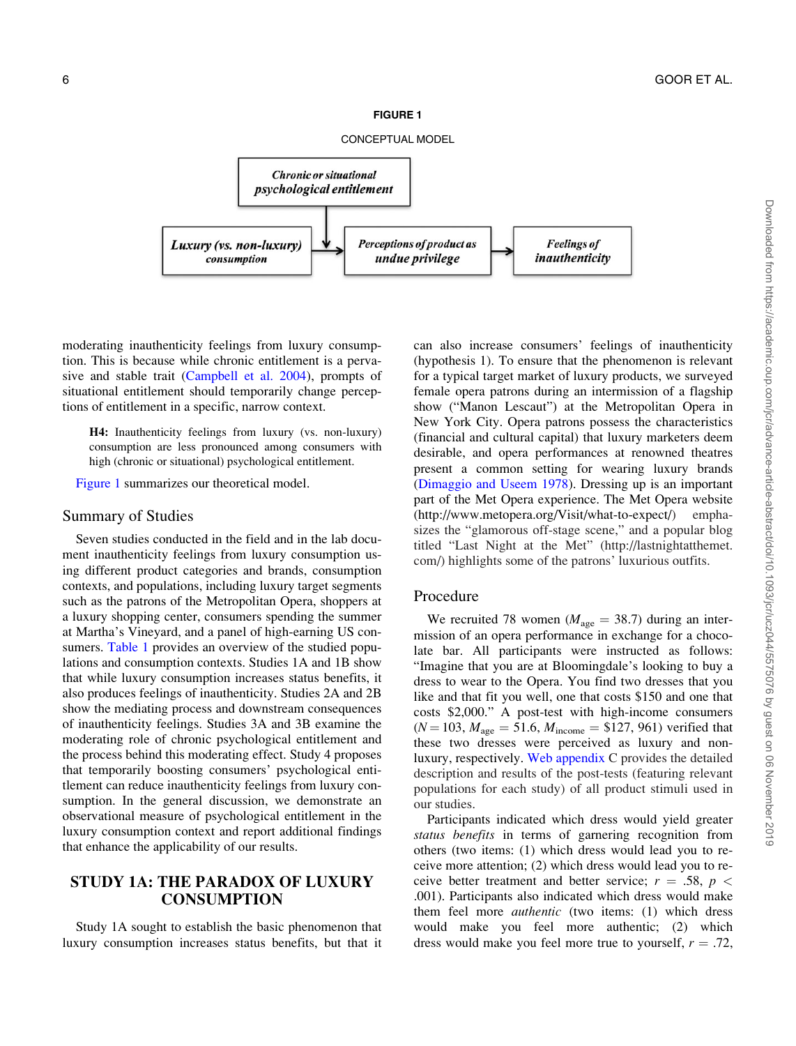



moderating inauthenticity feelings from luxury consumption. This is because while chronic entitlement is a pervasive and stable trait [\(Campbell et al. 2004](#page-18-0)), prompts of situational entitlement should temporarily change perceptions of entitlement in a specific, narrow context.

H4: Inauthenticity feelings from luxury (vs. non-luxury) consumption are less pronounced among consumers with high (chronic or situational) psychological entitlement.

Figure 1 summarizes our theoretical model.

# Summary of Studies

Seven studies conducted in the field and in the lab document inauthenticity feelings from luxury consumption using different product categories and brands, consumption contexts, and populations, including luxury target segments such as the patrons of the Metropolitan Opera, shoppers at a luxury shopping center, consumers spending the summer at Martha's Vineyard, and a panel of high-earning US con-sumers. [Table 1](#page-6-0) provides an overview of the studied populations and consumption contexts. Studies 1A and 1B show that while luxury consumption increases status benefits, it also produces feelings of inauthenticity. Studies 2A and 2B show the mediating process and downstream consequences of inauthenticity feelings. Studies 3A and 3B examine the moderating role of chronic psychological entitlement and the process behind this moderating effect. Study 4 proposes that temporarily boosting consumers' psychological entitlement can reduce inauthenticity feelings from luxury consumption. In the general discussion, we demonstrate an observational measure of psychological entitlement in the luxury consumption context and report additional findings that enhance the applicability of our results.

# STUDY 1A: THE PARADOX OF LUXURY **CONSUMPTION**

Study 1A sought to establish the basic phenomenon that luxury consumption increases status benefits, but that it can also increase consumers' feelings of inauthenticity (hypothesis 1). To ensure that the phenomenon is relevant for a typical target market of luxury products, we surveyed female opera patrons during an intermission of a flagship show ("Manon Lescaut") at the Metropolitan Opera in New York City. Opera patrons possess the characteristics (financial and cultural capital) that luxury marketers deem desirable, and opera performances at renowned theatres present a common setting for wearing luxury brands ([Dimaggio and Useem 1978](#page-18-0)). Dressing up is an important part of the Met Opera experience. The Met Opera website ([http://www.metopera.org/Visit/what-to-expect/\)](http://www.metopera.org/Visit/what-to-expect/) emphasizes the "glamorous off-stage scene," and a popular blog titled "Last Night at the Met" ([http://lastnightatthemet.](http://lastnightatthemet.com/) [com/\)](http://lastnightatthemet.com/) highlights some of the patrons' luxurious outfits.

## Procedure

We recruited 78 women ( $M_{\text{age}} = 38.7$ ) during an intermission of an opera performance in exchange for a chocolate bar. All participants were instructed as follows: "Imagine that you are at Bloomingdale's looking to buy a dress to wear to the Opera. You find two dresses that you like and that fit you well, one that costs \$150 and one that costs \$2,000." A post-test with high-income consumers  $(N = 103, M_{\text{age}} = 51.6, M_{\text{income}} = $127, 961)$  verified that these two dresses were perceived as luxury and nonluxury, respectively. [Web appendix](https://academic.oup.com/jcr/article-lookup/doi/10.1093/jcr/ucz044#supplementary-data) C provides the detailed description and results of the post-tests (featuring relevant populations for each study) of all product stimuli used in our studies.

Participants indicated which dress would yield greater status benefits in terms of garnering recognition from others (two items: (1) which dress would lead you to receive more attention; (2) which dress would lead you to receive better treatment and better service;  $r = .58$ ,  $p <$ .001). Participants also indicated which dress would make them feel more *authentic* (two items: (1) which dress would make you feel more authentic; (2) which dress would make you feel more true to yourself,  $r = .72$ ,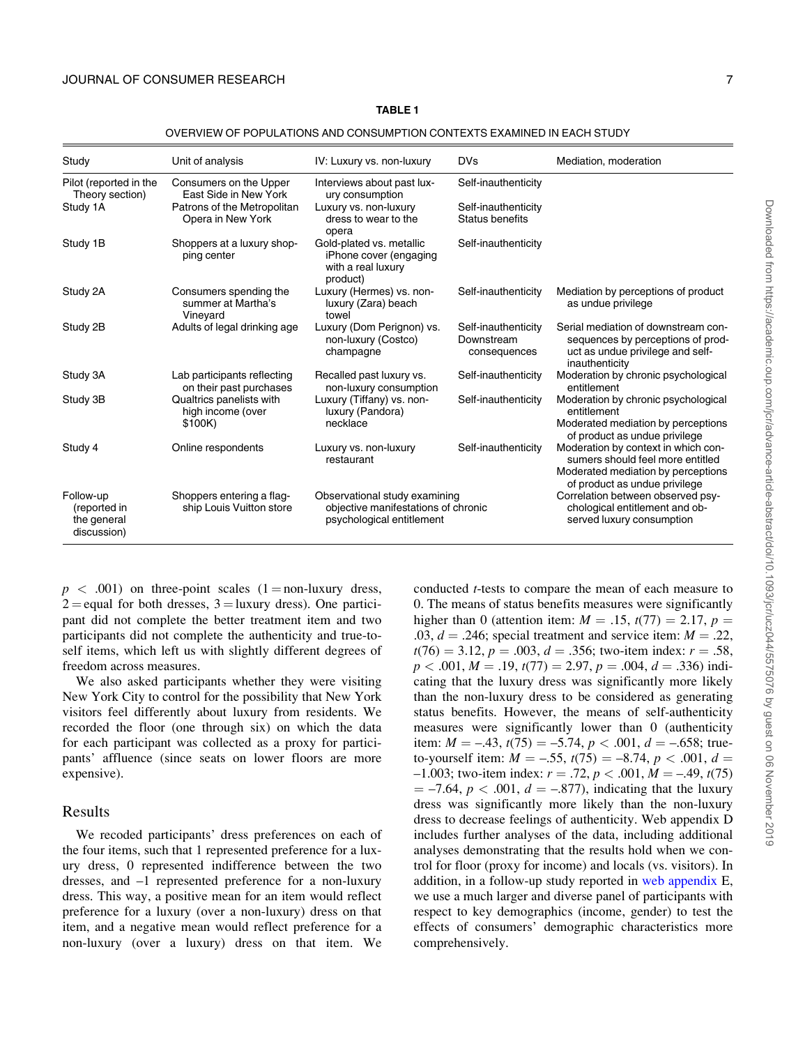OVERVIEW OF POPULATIONS AND CONSUMPTION CONTEXTS EXAMINED IN EACH STUDY

<span id="page-6-0"></span>

| Study                                                   | Unit of analysis                                         | IV: Luxury vs. non-luxury                                                                         | <b>DVs</b>                                        | Mediation, moderation                                                                                                                          |
|---------------------------------------------------------|----------------------------------------------------------|---------------------------------------------------------------------------------------------------|---------------------------------------------------|------------------------------------------------------------------------------------------------------------------------------------------------|
| Pilot (reported in the<br>Theory section)               | Consumers on the Upper<br>East Side in New York          | Interviews about past lux-<br>ury consumption                                                     | Self-inauthenticity                               |                                                                                                                                                |
| Study 1A                                                | Patrons of the Metropolitan<br>Opera in New York         | Luxury vs. non-luxury<br>dress to wear to the<br>opera                                            | Self-inauthenticity<br>Status benefits            |                                                                                                                                                |
| Study 1B                                                | Shoppers at a luxury shop-<br>ping center                | Gold-plated vs. metallic<br>iPhone cover (engaging<br>with a real luxury<br>product)              | Self-inauthenticity                               |                                                                                                                                                |
| Study 2A                                                | Consumers spending the<br>summer at Martha's<br>Vineyard | Luxury (Hermes) vs. non-<br>luxury (Zara) beach<br>towel                                          | Self-inauthenticity                               | Mediation by perceptions of product<br>as undue privilege                                                                                      |
| Study 2B                                                | Adults of legal drinking age                             | Luxury (Dom Perignon) vs.<br>non-luxury (Costco)<br>champagne                                     | Self-inauthenticity<br>Downstream<br>consequences | Serial mediation of downstream con-<br>sequences by perceptions of prod-<br>uct as undue privilege and self-<br>inauthenticity                 |
| Study 3A                                                | Lab participants reflecting<br>on their past purchases   | Recalled past luxury vs.<br>non-luxury consumption                                                | Self-inauthenticity                               | Moderation by chronic psychological<br>entitlement                                                                                             |
| Study 3B                                                | Qualtrics panelists with<br>high income (over<br>\$100K) | Luxury (Tiffany) vs. non-<br>luxury (Pandora)<br>necklace                                         | Self-inauthenticity                               | Moderation by chronic psychological<br>entitlement<br>Moderated mediation by perceptions<br>of product as undue privilege                      |
| Study 4                                                 | Online respondents                                       | Luxury vs. non-luxury<br>restaurant                                                               | Self-inauthenticity                               | Moderation by context in which con-<br>sumers should feel more entitled<br>Moderated mediation by perceptions<br>of product as undue privilege |
| Follow-up<br>(reported in<br>the general<br>discussion) | Shoppers entering a flag-<br>ship Louis Vuitton store    | Observational study examining<br>objective manifestations of chronic<br>psychological entitlement |                                                   | Correlation between observed psy-<br>chological entitlement and ob-<br>served luxury consumption                                               |

 $p < .001$ ) on three-point scales (1 = non-luxury dress,  $2 =$  equal for both dresses,  $3 =$  luxury dress). One participant did not complete the better treatment item and two participants did not complete the authenticity and true-toself items, which left us with slightly different degrees of freedom across measures.

We also asked participants whether they were visiting New York City to control for the possibility that New York visitors feel differently about luxury from residents. We recorded the floor (one through six) on which the data for each participant was collected as a proxy for participants' affluence (since seats on lower floors are more expensive).

## Results

We recoded participants' dress preferences on each of the four items, such that 1 represented preference for a luxury dress, 0 represented indifference between the two dresses, and –1 represented preference for a non-luxury dress. This way, a positive mean for an item would reflect preference for a luxury (over a non-luxury) dress on that item, and a negative mean would reflect preference for a non-luxury (over a luxury) dress on that item. We

conducted t-tests to compare the mean of each measure to 0. The means of status benefits measures were significantly higher than 0 (attention item:  $M = .15$ ,  $t(77) = 2.17$ ,  $p =$ .03,  $d = .246$ ; special treatment and service item:  $M = .22$ ,  $t(76) = 3.12, p = .003, d = .356$ ; two-item index:  $r = .58$ ,  $p < .001, M = .19, t(77) = 2.97, p = .004, d = .336$ ) indicating that the luxury dress was significantly more likely than the non-luxury dress to be considered as generating status benefits. However, the means of self-authenticity measures were significantly lower than 0 (authenticity item:  $M = -.43$ ,  $t(75) = -.5.74$ ,  $p < .001$ ,  $d = -.658$ ; trueto-yourself item:  $M = -.55$ ,  $t(75) = -8.74$ ,  $p < .001$ ,  $d =$  $-1.003$ ; two-item index:  $r = .72$ ,  $p < .001$ ,  $M = -.49$ ,  $t(75)$  $= -7.64, p < .001, d = -.877$ , indicating that the luxury dress was significantly more likely than the non-luxury dress to decrease feelings of authenticity. Web appendix D includes further analyses of the data, including additional analyses demonstrating that the results hold when we control for floor (proxy for income) and locals (vs. visitors). In addition, in a follow-up study reported in [web appendix](https://academic.oup.com/jcr/article-lookup/doi/10.1093/jcr/ucz044#supplementary-data) E, we use a much larger and diverse panel of participants with respect to key demographics (income, gender) to test the effects of consumers' demographic characteristics more comprehensively.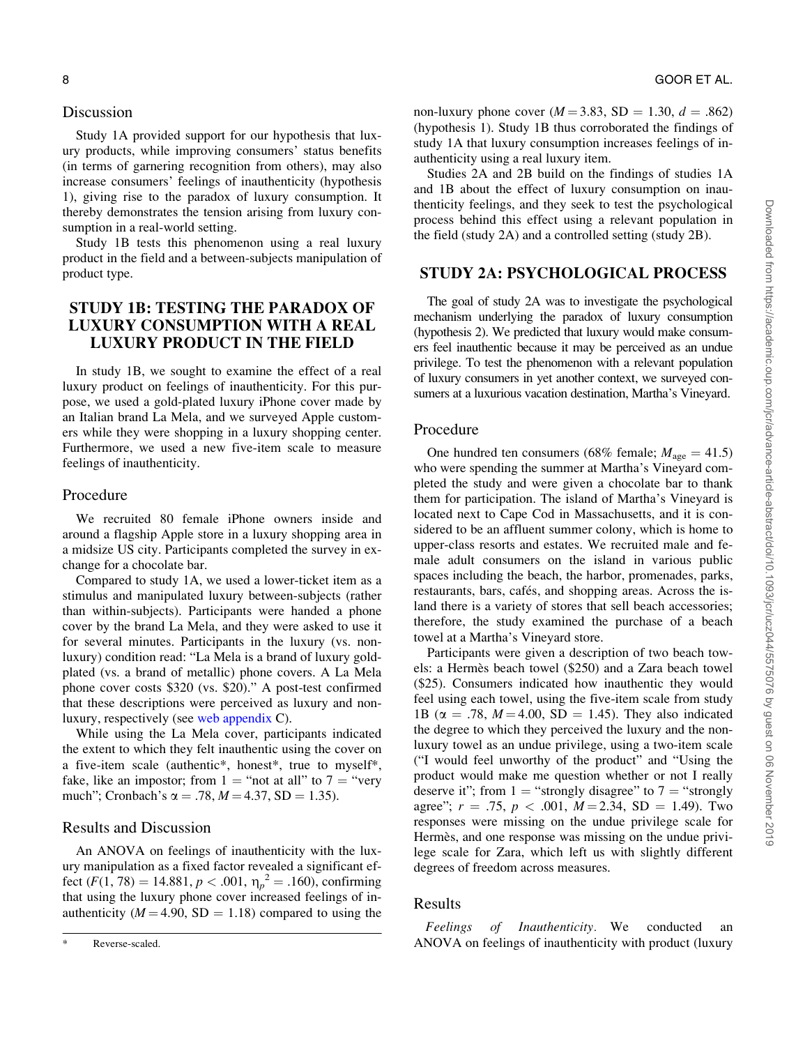## Discussion

Study 1A provided support for our hypothesis that luxury products, while improving consumers' status benefits (in terms of garnering recognition from others), may also increase consumers' feelings of inauthenticity (hypothesis 1), giving rise to the paradox of luxury consumption. It thereby demonstrates the tension arising from luxury consumption in a real-world setting.

Study 1B tests this phenomenon using a real luxury product in the field and a between-subjects manipulation of product type.

# STUDY 1B: TESTING THE PARADOX OF LUXURY CONSUMPTION WITH A REAL LUXURY PRODUCT IN THE FIELD

In study 1B, we sought to examine the effect of a real luxury product on feelings of inauthenticity. For this purpose, we used a gold-plated luxury iPhone cover made by an Italian brand La Mela, and we surveyed Apple customers while they were shopping in a luxury shopping center. Furthermore, we used a new five-item scale to measure feelings of inauthenticity.

## Procedure

We recruited 80 female iPhone owners inside and around a flagship Apple store in a luxury shopping area in a midsize US city. Participants completed the survey in exchange for a chocolate bar.

Compared to study 1A, we used a lower-ticket item as a stimulus and manipulated luxury between-subjects (rather than within-subjects). Participants were handed a phone cover by the brand La Mela, and they were asked to use it for several minutes. Participants in the luxury (vs. nonluxury) condition read: "La Mela is a brand of luxury goldplated (vs. a brand of metallic) phone covers. A La Mela phone cover costs \$320 (vs. \$20)." A post-test confirmed that these descriptions were perceived as luxury and nonluxury, respectively (see [web appendix](https://academic.oup.com/jcr/article-lookup/doi/10.1093/jcr/ucz044#supplementary-data) C).

While using the La Mela cover, participants indicated the extent to which they felt inauthentic using the cover on a five-item scale (authentic\*, honest\*, true to myself\*, fake, like an impostor; from  $1 =$  "not at all" to  $7 =$  "very much"; Cronbach's  $\alpha = .78$ ,  $M = 4.37$ , SD = 1.35).

## Results and Discussion

An ANOVA on feelings of inauthenticity with the luxury manipulation as a fixed factor revealed a significant effect  $(F(1, 78) = 14.881, p < .001, \eta_p^2 = .160)$ , confirming that using the luxury phone cover increased feelings of inauthenticity ( $M = 4.90$ , SD = 1.18) compared to using the non-luxury phone cover  $(M = 3.83, SD = 1.30, d = .862)$ (hypothesis 1). Study 1B thus corroborated the findings of study 1A that luxury consumption increases feelings of inauthenticity using a real luxury item.

Studies 2A and 2B build on the findings of studies 1A and 1B about the effect of luxury consumption on inauthenticity feelings, and they seek to test the psychological process behind this effect using a relevant population in the field (study 2A) and a controlled setting (study 2B).

# STUDY 2A: PSYCHOLOGICAL PROCESS

The goal of study 2A was to investigate the psychological mechanism underlying the paradox of luxury consumption (hypothesis 2). We predicted that luxury would make consumers feel inauthentic because it may be perceived as an undue privilege. To test the phenomenon with a relevant population of luxury consumers in yet another context, we surveyed consumers at a luxurious vacation destination, Martha's Vineyard.

# Procedure

One hundred ten consumers (68% female;  $M_{\text{age}} = 41.5$ ) who were spending the summer at Martha's Vineyard completed the study and were given a chocolate bar to thank them for participation. The island of Martha's Vineyard is located next to Cape Cod in Massachusetts, and it is considered to be an affluent summer colony, which is home to upper-class resorts and estates. We recruited male and female adult consumers on the island in various public spaces including the beach, the harbor, promenades, parks, restaurants, bars, cafés, and shopping areas. Across the island there is a variety of stores that sell beach accessories; therefore, the study examined the purchase of a beach towel at a Martha's Vineyard store.

Participants were given a description of two beach towels: a Hermès beach towel (\$250) and a Zara beach towel (\$25). Consumers indicated how inauthentic they would feel using each towel, using the five-item scale from study 1B ( $\alpha = .78$ ,  $M = 4.00$ , SD = 1.45). They also indicated the degree to which they perceived the luxury and the nonluxury towel as an undue privilege, using a two-item scale ("I would feel unworthy of the product" and "Using the product would make me question whether or not I really deserve it"; from  $1 =$  "strongly disagree" to  $7 =$  "strongly" agree";  $r = .75$ ,  $p < .001$ ,  $M = 2.34$ , SD = 1.49). Two responses were missing on the undue privilege scale for Hermès, and one response was missing on the undue privilege scale for Zara, which left us with slightly different degrees of freedom across measures.

## Results

Feelings of Inauthenticity. We conducted an \* Reverse-scaled. ANOVA on feelings of inauthenticity with product (luxury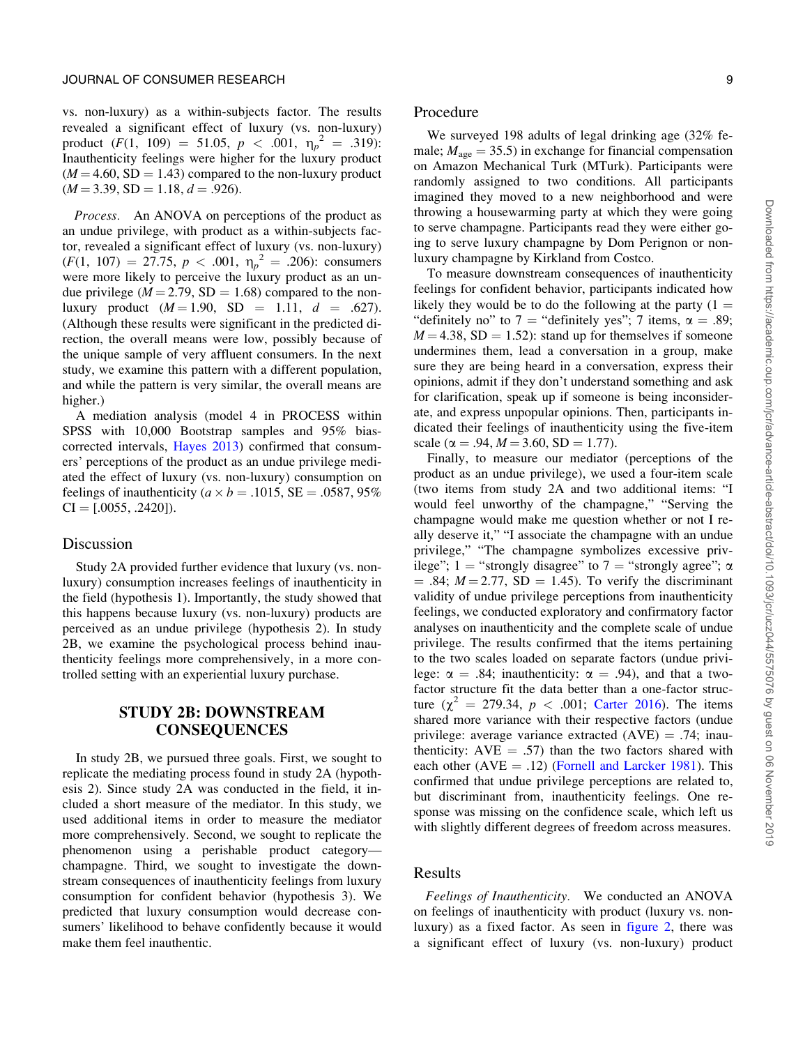vs. non-luxury) as a within-subjects factor. The results revealed a significant effect of luxury (vs. non-luxury) product  $(F(1, 109) = 51.05, p < .001, \eta_p^2 = .319)$ : Inauthenticity feelings were higher for the luxury product  $(M = 4.60, SD = 1.43)$  compared to the non-luxury product  $(M = 3.39, SD = 1.18, d = .926).$ 

Process. An ANOVA on perceptions of the product as an undue privilege, with product as a within-subjects factor, revealed a significant effect of luxury (vs. non-luxury)  $(F(1, 107) = 27.75, p < .001, \eta_p^2 = .206)$ : consumers were more likely to perceive the luxury product as an undue privilege ( $M = 2.79$ , SD = 1.68) compared to the nonluxury product  $(M = 1.90, SD = 1.11, d = .627)$ . (Although these results were significant in the predicted direction, the overall means were low, possibly because of the unique sample of very affluent consumers. In the next study, we examine this pattern with a different population, and while the pattern is very similar, the overall means are higher.)

A mediation analysis (model 4 in PROCESS within SPSS with 10,000 Bootstrap samples and 95% biascorrected intervals, [Hayes 2013\)](#page-18-0) confirmed that consumers' perceptions of the product as an undue privilege mediated the effect of luxury (vs. non-luxury) consumption on feelings of inauthenticity ( $a \times b = .1015$ , SE = .0587, 95%  $CI = [.0055, .2420]$ .

## Discussion

Study 2A provided further evidence that luxury (vs. nonluxury) consumption increases feelings of inauthenticity in the field (hypothesis 1). Importantly, the study showed that this happens because luxury (vs. non-luxury) products are perceived as an undue privilege (hypothesis 2). In study 2B, we examine the psychological process behind inauthenticity feelings more comprehensively, in a more controlled setting with an experiential luxury purchase.

# STUDY 2B: DOWNSTREAM **CONSEQUENCES**

In study 2B, we pursued three goals. First, we sought to replicate the mediating process found in study 2A (hypothesis 2). Since study 2A was conducted in the field, it included a short measure of the mediator. In this study, we used additional items in order to measure the mediator more comprehensively. Second, we sought to replicate the phenomenon using a perishable product category champagne. Third, we sought to investigate the downstream consequences of inauthenticity feelings from luxury consumption for confident behavior (hypothesis 3). We predicted that luxury consumption would decrease consumers' likelihood to behave confidently because it would make them feel inauthentic.

## Procedure

We surveyed 198 adults of legal drinking age (32% female;  $M_{\text{age}} = 35.5$ ) in exchange for financial compensation on Amazon Mechanical Turk (MTurk). Participants were randomly assigned to two conditions. All participants imagined they moved to a new neighborhood and were throwing a housewarming party at which they were going to serve champagne. Participants read they were either going to serve luxury champagne by Dom Perignon or nonluxury champagne by Kirkland from Costco.

To measure downstream consequences of inauthenticity feelings for confident behavior, participants indicated how likely they would be to do the following at the party  $(1 =$ "definitely no" to 7 = "definitely yes"; 7 items,  $\alpha = .89$ ;  $M = 4.38$ , SD = 1.52): stand up for themselves if someone undermines them, lead a conversation in a group, make sure they are being heard in a conversation, express their opinions, admit if they don't understand something and ask for clarification, speak up if someone is being inconsiderate, and express unpopular opinions. Then, participants indicated their feelings of inauthenticity using the five-item scale ( $\alpha$  = .94,  $M = 3.60$ , SD = 1.77).

Finally, to measure our mediator (perceptions of the product as an undue privilege), we used a four-item scale (two items from study 2A and two additional items: "I would feel unworthy of the champagne," "Serving the champagne would make me question whether or not I really deserve it," "I associate the champagne with an undue privilege," "The champagne symbolizes excessive privilege"; 1 = "strongly disagree" to 7 = "strongly agree";  $\alpha$  $= .84$ ;  $M = 2.77$ , SD  $= 1.45$ ). To verify the discriminant validity of undue privilege perceptions from inauthenticity feelings, we conducted exploratory and confirmatory factor analyses on inauthenticity and the complete scale of undue privilege. The results confirmed that the items pertaining to the two scales loaded on separate factors (undue privilege:  $\alpha = .84$ ; inauthenticity:  $\alpha = .94$ ), and that a twofactor structure fit the data better than a one-factor structure  $(\chi^2 = 279.34, p < .001$ ; [Carter 2016\)](#page-18-0). The items shared more variance with their respective factors (undue privilege: average variance extracted  $(AVE) = .74$ ; inauthenticity:  $AVE = .57$ ) than the two factors shared with each other  $(AVE = .12)$  [\(Fornell and Larcker 1981](#page-18-0)). This confirmed that undue privilege perceptions are related to, but discriminant from, inauthenticity feelings. One response was missing on the confidence scale, which left us with slightly different degrees of freedom across measures.

# Results

Feelings of Inauthenticity. We conducted an ANOVA on feelings of inauthenticity with product (luxury vs. nonluxury) as a fixed factor. As seen in [figure 2,](#page-9-0) there was a significant effect of luxury (vs. non-luxury) product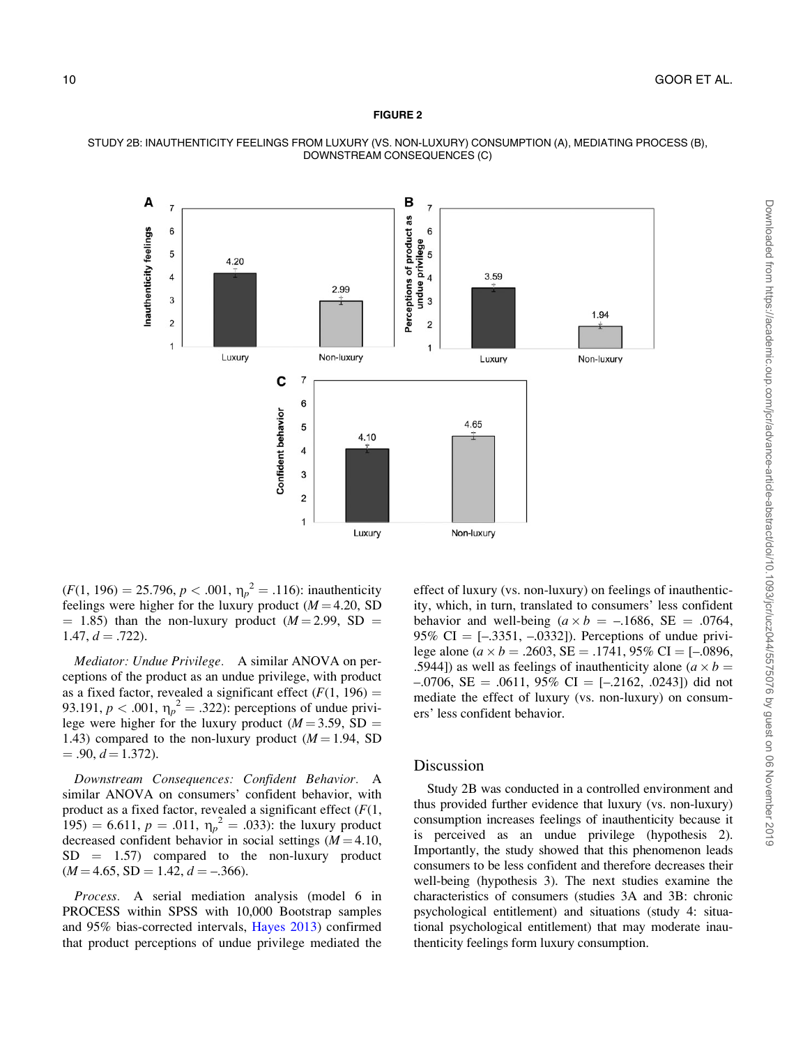#### FIGURE 2

<span id="page-9-0"></span>



 $(F(1, 196) = 25.796, p < .001, \eta_p^2 = .116)$ : inauthenticity feelings were higher for the luxury product  $(M = 4.20, SD)$  $= 1.85$ ) than the non-luxury product ( $M = 2.99$ , SD =  $1.47, d = .722$ ).

Mediator: Undue Privilege. A similar ANOVA on perceptions of the product as an undue privilege, with product as a fixed factor, revealed a significant effect  $(F(1, 196))$  = 93.191,  $p < .001$ ,  $\eta_p^2 = .322$ ): perceptions of undue privilege were higher for the luxury product ( $M = 3.59$ , SD = 1.43) compared to the non-luxury product  $(M = 1.94, SD)$  $= .90, d = 1.372$ .

Downstream Consequences: Confident Behavior. A similar ANOVA on consumers' confident behavior, with product as a fixed factor, revealed a significant effect  $(F(1,$ 195) = 6.611,  $p = .011$ ,  $\eta_p^2 = .033$ ): the luxury product decreased confident behavior in social settings  $(M = 4.10,$  $SD = 1.57$  compared to the non-luxury product  $(M = 4.65, SD = 1.42, d = -.366).$ 

Process. A serial mediation analysis (model 6 in PROCESS within SPSS with 10,000 Bootstrap samples and 95% bias-corrected intervals, [Hayes 2013](#page-18-0)) confirmed that product perceptions of undue privilege mediated the

effect of luxury (vs. non-luxury) on feelings of inauthenticity, which, in turn, translated to consumers' less confident behavior and well-being  $(a \times b = -.1686, SE = .0764,$ 95% CI =  $[-.3351, -.0332]$ . Perceptions of undue privilege alone ( $a \times b = .2603$ , SE = .1741, 95% CI = [-.0896, .5944]) as well as feelings of inauthenticity alone ( $a \times b =$  $-.0706$ , SE =  $.0611$ , 95% CI =  $[-.2162, .0243]$  did not mediate the effect of luxury (vs. non-luxury) on consumers' less confident behavior.

# Discussion

Study 2B was conducted in a controlled environment and thus provided further evidence that luxury (vs. non-luxury) consumption increases feelings of inauthenticity because it is perceived as an undue privilege (hypothesis 2). Importantly, the study showed that this phenomenon leads consumers to be less confident and therefore decreases their well-being (hypothesis 3). The next studies examine the characteristics of consumers (studies 3A and 3B: chronic psychological entitlement) and situations (study 4: situational psychological entitlement) that may moderate inauthenticity feelings form luxury consumption.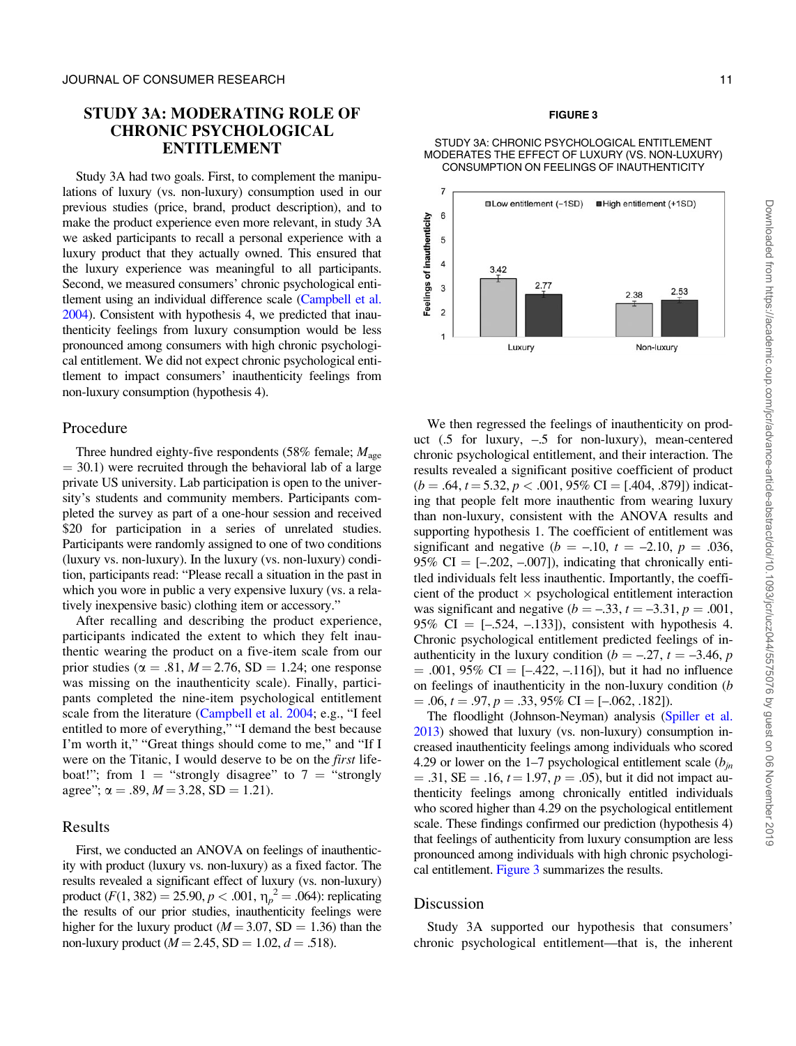# STUDY 3A: MODERATING ROLE OF CHRONIC PSYCHOLOGICAL ENTITLEMENT

Study 3A had two goals. First, to complement the manipulations of luxury (vs. non-luxury) consumption used in our previous studies (price, brand, product description), and to make the product experience even more relevant, in study 3A we asked participants to recall a personal experience with a luxury product that they actually owned. This ensured that the luxury experience was meaningful to all participants. Second, we measured consumers' chronic psychological entitlement using an individual difference scale [\(Campbell et al.](#page-18-0) [2004](#page-18-0)). Consistent with hypothesis 4, we predicted that inauthenticity feelings from luxury consumption would be less pronounced among consumers with high chronic psychological entitlement. We did not expect chronic psychological entitlement to impact consumers' inauthenticity feelings from non-luxury consumption (hypothesis 4).

## Procedure

Three hundred eighty-five respondents (58% female;  $M_{\text{age}}$ )  $=$  30.1) were recruited through the behavioral lab of a large private US university. Lab participation is open to the university's students and community members. Participants completed the survey as part of a one-hour session and received \$20 for participation in a series of unrelated studies. Participants were randomly assigned to one of two conditions (luxury vs. non-luxury). In the luxury (vs. non-luxury) condition, participants read: "Please recall a situation in the past in which you wore in public a very expensive luxury (vs. a relatively inexpensive basic) clothing item or accessory."

After recalling and describing the product experience, participants indicated the extent to which they felt inauthentic wearing the product on a five-item scale from our prior studies ( $\alpha = .81$ ,  $M = 2.76$ , SD = 1.24; one response was missing on the inauthenticity scale). Finally, participants completed the nine-item psychological entitlement scale from the literature ([Campbell et al. 2004](#page-18-0); e.g., "I feel entitled to more of everything," "I demand the best because I'm worth it," "Great things should come to me," and "If I were on the Titanic, I would deserve to be on the first lifeboat!"; from  $1 =$  "strongly disagree" to  $7 =$  "strongly agree";  $\alpha = .89, M = 3.28, SD = 1.21$ .

## Results

First, we conducted an ANOVA on feelings of inauthenticity with product (luxury vs. non-luxury) as a fixed factor. The results revealed a significant effect of luxury (vs. non-luxury) product  $(F(1, 382) = 25.90, p < .001, \eta_p^2 = .064)$ : replicating the results of our prior studies, inauthenticity feelings were higher for the luxury product ( $M = 3.07$ , SD = 1.36) than the non-luxury product ( $M = 2.45$ , SD = 1.02,  $d = .518$ ).

#### FIGURE 3

#### STUDY 3A: CHRONIC PSYCHOLOGICAL ENTITLEMENT MODERATES THE EFFECT OF LUXURY (VS. NON-LUXURY) CONSUMPTION ON FEELINGS OF INAUTHENTICITY



We then regressed the feelings of inauthenticity on product (.5 for luxury, –.5 for non-luxury), mean-centered chronic psychological entitlement, and their interaction. The results revealed a significant positive coefficient of product  $(b = .64, t = 5.32, p < .001, 95\% \text{ CI} = [.404, .879])$  indicating that people felt more inauthentic from wearing luxury than non-luxury, consistent with the ANOVA results and supporting hypothesis 1. The coefficient of entitlement was significant and negative ( $b = -.10$ ,  $t = -2.10$ ,  $p = .036$ , 95% CI =  $[-.202, -.007]$ ), indicating that chronically entitled individuals felt less inauthentic. Importantly, the coefficient of the product  $\times$  psychological entitlement interaction was significant and negative ( $b = -.33$ ,  $t = -3.31$ ,  $p = .001$ , 95% CI =  $[-.524, -.133]$ , consistent with hypothesis 4. Chronic psychological entitlement predicted feelings of inauthenticity in the luxury condition ( $b = -.27$ ,  $t = -3.46$ , p  $= .001, 95\% \text{ CI} = [-.422, -.116]$ , but it had no influence on feelings of inauthenticity in the non-luxury condition (b  $= .06, t = .97, p = .33,95\% \text{ CI} = [-.062, .182]).$ 

The floodlight (Johnson-Neyman) analysis [\(Spiller et al.](#page-19-0) [2013\)](#page-19-0) showed that luxury (vs. non-luxury) consumption increased inauthenticity feelings among individuals who scored 4.29 or lower on the 1–7 psychological entitlement scale  $(b<sub>m</sub>)$  $= .31$ , SE  $= .16$ ,  $t = 1.97$ ,  $p = .05$ ), but it did not impact authenticity feelings among chronically entitled individuals who scored higher than 4.29 on the psychological entitlement scale. These findings confirmed our prediction (hypothesis 4) that feelings of authenticity from luxury consumption are less pronounced among individuals with high chronic psychological entitlement. Figure 3 summarizes the results.

## Discussion

Study 3A supported our hypothesis that consumers' chronic psychological entitlement—that is, the inherent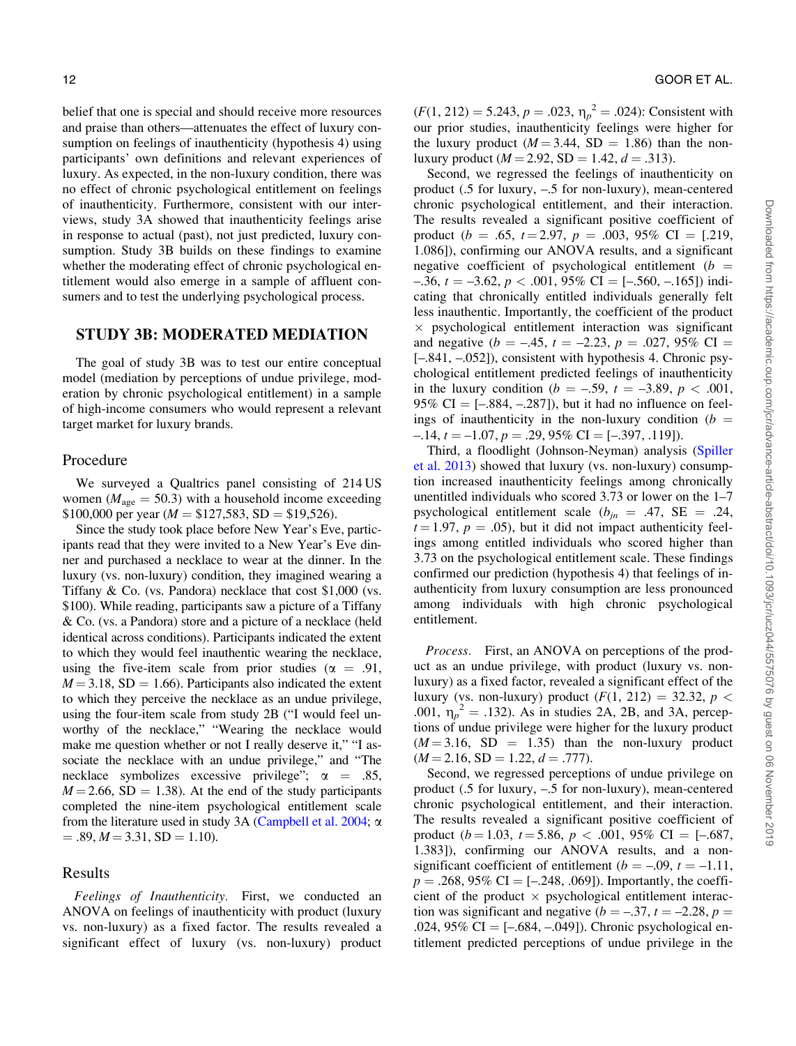belief that one is special and should receive more resources and praise than others—attenuates the effect of luxury consumption on feelings of inauthenticity (hypothesis 4) using participants' own definitions and relevant experiences of luxury. As expected, in the non-luxury condition, there was no effect of chronic psychological entitlement on feelings of inauthenticity. Furthermore, consistent with our interviews, study 3A showed that inauthenticity feelings arise in response to actual (past), not just predicted, luxury consumption. Study 3B builds on these findings to examine whether the moderating effect of chronic psychological entitlement would also emerge in a sample of affluent consumers and to test the underlying psychological process.

## STUDY 3B: MODERATED MEDIATION

The goal of study 3B was to test our entire conceptual model (mediation by perceptions of undue privilege, moderation by chronic psychological entitlement) in a sample of high-income consumers who would represent a relevant target market for luxury brands.

## Procedure

We surveyed a Qualtrics panel consisting of 214 US women ( $M_{\text{age}} = 50.3$ ) with a household income exceeding \$100,000 per year ( $M = $127,583$ , SD = \$19,526).

Since the study took place before New Year's Eve, participants read that they were invited to a New Year's Eve dinner and purchased a necklace to wear at the dinner. In the luxury (vs. non-luxury) condition, they imagined wearing a Tiffany & Co. (vs. Pandora) necklace that cost \$1,000 (vs. \$100). While reading, participants saw a picture of a Tiffany & Co. (vs. a Pandora) store and a picture of a necklace (held identical across conditions). Participants indicated the extent to which they would feel inauthentic wearing the necklace, using the five-item scale from prior studies ( $\alpha = .91$ ,  $M = 3.18$ , SD = 1.66). Participants also indicated the extent to which they perceive the necklace as an undue privilege, using the four-item scale from study 2B ("I would feel unworthy of the necklace," "Wearing the necklace would make me question whether or not I really deserve it," "I associate the necklace with an undue privilege," and "The necklace symbolizes excessive privilege";  $\alpha = .85$ ,  $M = 2.66$ , SD = 1.38). At the end of the study participants completed the nine-item psychological entitlement scale from the literature used in study 3A ([Campbell et al. 2004;](#page-18-0)  $\alpha$  $= .89, M = 3.31, SD = 1.10.$ 

## Results

Feelings of Inauthenticity. First, we conducted an ANOVA on feelings of inauthenticity with product (luxury vs. non-luxury) as a fixed factor. The results revealed a significant effect of luxury (vs. non-luxury) product  $(F(1, 212) = 5.243, p = .023, \eta_p^2 = .024$ : Consistent with our prior studies, inauthenticity feelings were higher for the luxury product  $(M = 3.44, SD = 1.86)$  than the nonluxury product ( $M = 2.92$ , SD = 1.42,  $d = .313$ ).

Second, we regressed the feelings of inauthenticity on product (.5 for luxury, –.5 for non-luxury), mean-centered chronic psychological entitlement, and their interaction. The results revealed a significant positive coefficient of product ( $b = .65$ ,  $t = 2.97$ ,  $p = .003$ , 95% CI = [.219, 1.086]), confirming our ANOVA results, and a significant negative coefficient of psychological entitlement ( $b =$  $-36$ ,  $t = -3.62$ ,  $p < .001$ ,  $95\%$  CI  $= [-560, -165]$ ) indicating that chronically entitled individuals generally felt less inauthentic. Importantly, the coefficient of the product  $\times$  psychological entitlement interaction was significant and negative ( $b = -.45$ ,  $t = -2.23$ ,  $p = .027$ , 95% CI = [–.841, –.052]), consistent with hypothesis 4. Chronic psychological entitlement predicted feelings of inauthenticity in the luxury condition ( $b = -.59$ ,  $t = -3.89$ ,  $p < .001$ , 95% CI =  $[-.884, -.287]$ , but it had no influence on feelings of inauthenticity in the non-luxury condition ( $b =$  $-14$ ,  $t = -1.07$ ,  $p = .29$ , 95% CI  $= [-0.397, 0.119]$ .

Third, a floodlight (Johnson-Neyman) analysis ([Spiller](#page-19-0) [et al. 2013\)](#page-19-0) showed that luxury (vs. non-luxury) consumption increased inauthenticity feelings among chronically unentitled individuals who scored 3.73 or lower on the 1–7 psychological entitlement scale ( $b_{in} = .47$ , SE = .24,  $t = 1.97$ ,  $p = .05$ ), but it did not impact authenticity feelings among entitled individuals who scored higher than 3.73 on the psychological entitlement scale. These findings confirmed our prediction (hypothesis 4) that feelings of inauthenticity from luxury consumption are less pronounced among individuals with high chronic psychological entitlement.

Process. First, an ANOVA on perceptions of the product as an undue privilege, with product (luxury vs. nonluxury) as a fixed factor, revealed a significant effect of the luxury (vs. non-luxury) product  $(F(1, 212) = 32.32, p <$ .001,  $\eta_p^2 = .132$ ). As in studies 2A, 2B, and 3A, perceptions of undue privilege were higher for the luxury product  $(M = 3.16, SD = 1.35)$  than the non-luxury product  $(M = 2.16, SD = 1.22, d = .777).$ 

Second, we regressed perceptions of undue privilege on product (.5 for luxury, –.5 for non-luxury), mean-centered chronic psychological entitlement, and their interaction. The results revealed a significant positive coefficient of product ( $b = 1.03$ ,  $t = 5.86$ ,  $p < .001$ , 95% CI = [-.687, 1.383]), confirming our ANOVA results, and a nonsignificant coefficient of entitlement ( $b = -.09$ ,  $t = -1.11$ ,  $p = .268, 95\% \text{ CI} = [-.248, .069]$ . Importantly, the coefficient of the product  $\times$  psychological entitlement interaction was significant and negative ( $b = -.37$ ,  $t = -2.28$ ,  $p =$ .024, 95% CI =  $[-.684, -.049]$ ). Chronic psychological entitlement predicted perceptions of undue privilege in the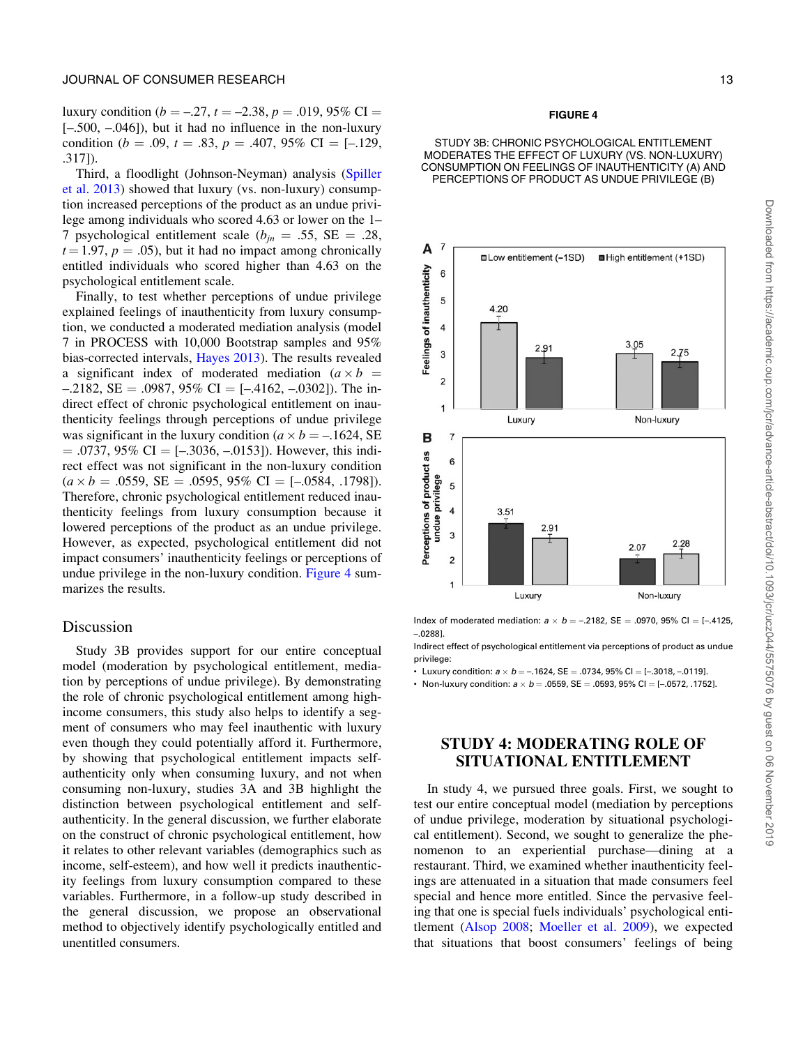luxury condition ( $b = -.27$ ,  $t = -2.38$ ,  $p = .019$ , 95% CI =  $[-.500, -0.046]$ , but it had no influence in the non-luxury condition ( $b = .09$ ,  $t = .83$ ,  $p = .407$ , 95% CI = [-.129, .317]).

Third, a floodlight (Johnson-Neyman) analysis ([Spiller](#page-19-0) [et al. 2013](#page-19-0)) showed that luxury (vs. non-luxury) consumption increased perceptions of the product as an undue privilege among individuals who scored 4.63 or lower on the 1– 7 psychological entitlement scale ( $b_{in} = .55$ , SE = .28,  $t = 1.97$ ,  $p = .05$ ), but it had no impact among chronically entitled individuals who scored higher than 4.63 on the psychological entitlement scale.

Finally, to test whether perceptions of undue privilege explained feelings of inauthenticity from luxury consumption, we conducted a moderated mediation analysis (model 7 in PROCESS with 10,000 Bootstrap samples and 95% bias-corrected intervals, [Hayes 2013\)](#page-18-0). The results revealed a significant index of moderated mediation ( $a \times b$  =  $-0.2182$ , SE = .0987, 95% CI =  $[-0.4162, -0.0302]$ . The indirect effect of chronic psychological entitlement on inauthenticity feelings through perceptions of undue privilege was significant in the luxury condition ( $a \times b = -1624$ , SE  $= .0737, 95\% \text{ CI} = [-.3036, -.0153]$ . However, this indirect effect was not significant in the non-luxury condition  $(a \times b = .0559, SE = .0595, 95\% \text{ CI} = [-.0584, .1798]).$ Therefore, chronic psychological entitlement reduced inauthenticity feelings from luxury consumption because it lowered perceptions of the product as an undue privilege. However, as expected, psychological entitlement did not impact consumers' inauthenticity feelings or perceptions of undue privilege in the non-luxury condition. Figure 4 summarizes the results.

#### Discussion

Study 3B provides support for our entire conceptual model (moderation by psychological entitlement, mediation by perceptions of undue privilege). By demonstrating the role of chronic psychological entitlement among highincome consumers, this study also helps to identify a segment of consumers who may feel inauthentic with luxury even though they could potentially afford it. Furthermore, by showing that psychological entitlement impacts selfauthenticity only when consuming luxury, and not when consuming non-luxury, studies 3A and 3B highlight the distinction between psychological entitlement and selfauthenticity. In the general discussion, we further elaborate on the construct of chronic psychological entitlement, how it relates to other relevant variables (demographics such as income, self-esteem), and how well it predicts inauthenticity feelings from luxury consumption compared to these variables. Furthermore, in a follow-up study described in the general discussion, we propose an observational method to objectively identify psychologically entitled and unentitled consumers.

#### FIGURE 4

#### STUDY 3B: CHRONIC PSYCHOLOGICAL ENTITLEMENT MODERATES THE EFFECT OF LUXURY (VS. NON-LUXURY) CONSUMPTION ON FEELINGS OF INAUTHENTICITY (A) AND PERCEPTIONS OF PRODUCT AS UNDUE PRIVILEGE (B)



Index of moderated mediation:  $a \times b = -2182$ , SE = .0970, 95% CI = [-.4125, –.0288].

Indirect effect of psychological entitlement via perceptions of product as undue privilege:

• Luxury condition:  $a \times b = -.1624$ . SE = .0734, 95% CI = [-.3018, -.0119].

• Non-luxury condition:  $a \times b = 0.0559$ , SE = .0593, 95% CI = [-0.0572, .1752].

# STUDY 4: MODERATING ROLE OF SITUATIONAL ENTITLEMENT

In study 4, we pursued three goals. First, we sought to test our entire conceptual model (mediation by perceptions of undue privilege, moderation by situational psychological entitlement). Second, we sought to generalize the phenomenon to an experiential purchase—dining at a restaurant. Third, we examined whether inauthenticity feelings are attenuated in a situation that made consumers feel special and hence more entitled. Since the pervasive feeling that one is special fuels individuals' psychological entitlement ([Alsop 2008](#page-17-0); [Moeller et al. 2009](#page-19-0)), we expected that situations that boost consumers' feelings of being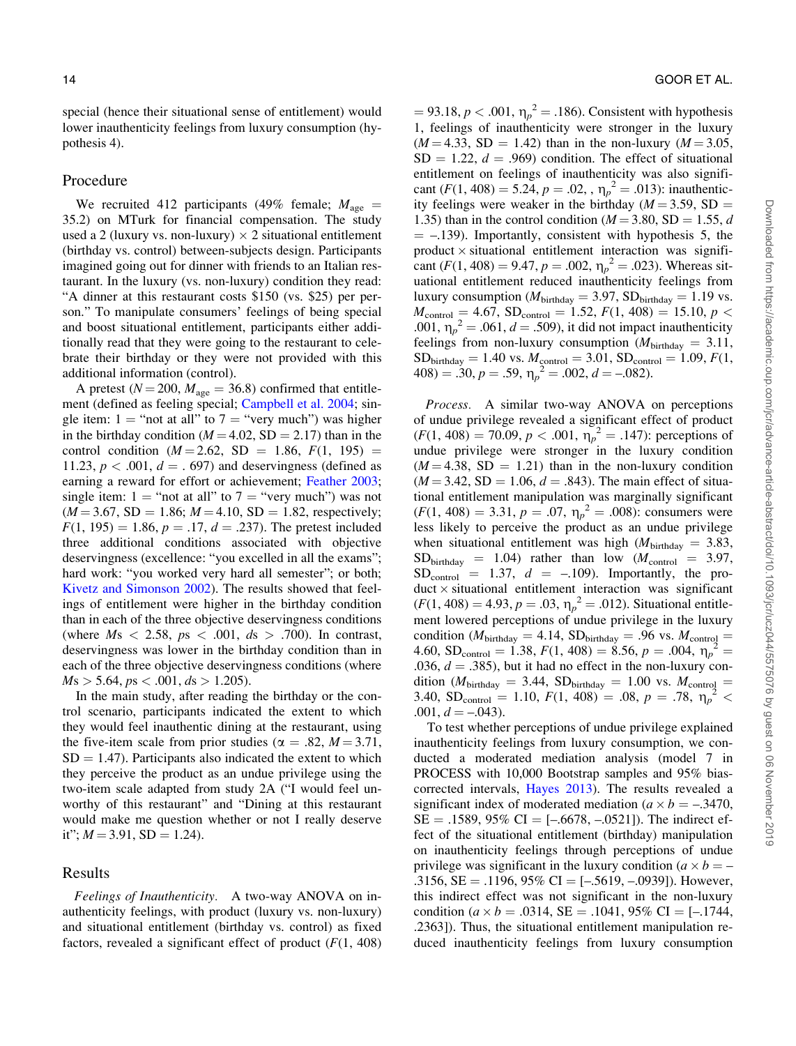special (hence their situational sense of entitlement) would lower inauthenticity feelings from luxury consumption (hypothesis 4).

## Procedure

We recruited 412 participants (49% female;  $M_{\text{age}} =$ 35.2) on MTurk for financial compensation. The study used a 2 (luxury vs. non-luxury)  $\times$  2 situational entitlement (birthday vs. control) between-subjects design. Participants imagined going out for dinner with friends to an Italian restaurant. In the luxury (vs. non-luxury) condition they read: "A dinner at this restaurant costs \$150 (vs. \$25) per person." To manipulate consumers' feelings of being special and boost situational entitlement, participants either additionally read that they were going to the restaurant to celebrate their birthday or they were not provided with this additional information (control).

A pretest ( $N = 200$ ,  $M_{\text{age}} = 36.8$ ) confirmed that entitlement (defined as feeling special; [Campbell et al. 2004](#page-18-0); single item:  $1 =$  "not at all" to  $7 =$  "very much") was higher in the birthday condition ( $M = 4.02$ , SD = 2.17) than in the control condition  $(M = 2.62, SD = 1.86, F(1, 195)$ 11.23,  $p < .001$ ,  $d = .697$ ) and deservingness (defined as earning a reward for effort or achievement; [Feather 2003;](#page-18-0) single item:  $1 =$  "not at all" to  $7 =$  "very much") was not  $(M = 3.67, SD = 1.86; M = 4.10, SD = 1.82$ , respectively;  $F(1, 195) = 1.86, p = .17, d = .237$ . The pretest included three additional conditions associated with objective deservingness (excellence: "you excelled in all the exams"; hard work: "you worked very hard all semester"; or both; [Kivetz and Simonson 2002\)](#page-19-0). The results showed that feelings of entitlement were higher in the birthday condition than in each of the three objective deservingness conditions (where  $Ms < 2.58$ ,  $ps < .001$ ,  $ds > .700$ ). In contrast, deservingness was lower in the birthday condition than in each of the three objective deservingness conditions (where  $Ms > 5.64, ps < .001, ds > 1.205$ .

In the main study, after reading the birthday or the control scenario, participants indicated the extent to which they would feel inauthentic dining at the restaurant, using the five-item scale from prior studies ( $\alpha = .82$ ,  $M = 3.71$ ,  $SD = 1.47$ ). Participants also indicated the extent to which they perceive the product as an undue privilege using the two-item scale adapted from study 2A ("I would feel unworthy of this restaurant" and "Dining at this restaurant would make me question whether or not I really deserve it";  $M = 3.91$ , SD = 1.24).

## Results

Feelings of Inauthenticity. A two-way ANOVA on inauthenticity feelings, with product (luxury vs. non-luxury) and situational entitlement (birthday vs. control) as fixed factors, revealed a significant effect of product  $(F(1, 408))$   $= 93.18, p < .001, \eta_p^2 = .186$ ). Consistent with hypothesis 1, feelings of inauthenticity were stronger in the luxury  $(M = 4.33, SD = 1.42)$  than in the non-luxury  $(M = 3.05,$  $SD = 1.22, d = .969$  condition. The effect of situational entitlement on feelings of inauthenticity was also significant  $(F(1, 408) = 5.24, p = .02, , \eta_p^2 = .013)$ : inauthenticity feelings were weaker in the birthday ( $M = 3.59$ , SD = 1.35) than in the control condition ( $M = 3.80$ , SD = 1.55, d  $=$  -.139). Importantly, consistent with hypothesis 5, the product  $\times$  situational entitlement interaction was significant ( $F(1, 408) = 9.47$ ,  $p = .002$ ,  $\eta_p^2 = .023$ ). Whereas situational entitlement reduced inauthenticity feelings from luxury consumption ( $M_{\text{birthday}} = 3.97$ ,  $SD_{\text{birthday}} = 1.19$  vs.  $M_{\text{control}} = 4.67$ ,  $SD_{\text{control}} = 1.52$ ,  $F(1, 408) = 15.10$ ,  $p <$ .001,  $\eta_p^2 = .061$ ,  $d = .509$ ), it did not impact inauthenticity feelings from non-luxury consumption ( $M_{\text{birthday}} = 3.11$ ,  $SD<sub>birthday</sub> = 1.40$  vs.  $M<sub>control</sub> = 3.01$ ,  $SD<sub>control</sub> = 1.09$ ,  $F(1, 1)$  $408$ ) = .30, p = .59,  $\eta_p^2$  = .002, d = -.082).

Process. A similar two-way ANOVA on perceptions of undue privilege revealed a significant effect of product  $(F(1, 408) = 70.09, p < .001, \eta_p^2 = .147)$ : perceptions of undue privilege were stronger in the luxury condition  $(M = 4.38, SD = 1.21)$  than in the non-luxury condition  $(M = 3.42, SD = 1.06, d = .843)$ . The main effect of situational entitlement manipulation was marginally significant  $(F(1, 408) = 3.31, p = .07, \eta_p^2 = .008)$ : consumers were less likely to perceive the product as an undue privilege when situational entitlement was high  $(M<sub>birthday</sub> = 3.83,$  $SD<sub>birthday</sub> = 1.04$  rather than low  $(M<sub>control</sub> = 3.97)$ ,  $SD_{control}$  = 1.37,  $d = -.109$ ). Importantly, the product  $\times$  situational entitlement interaction was significant  $(F(1, 408) = 4.93, p = .03, \eta_p^2 = .012)$ . Situational entitlement lowered perceptions of undue privilege in the luxury condition ( $M_{\text{birthday}} = 4.14$ , SD<sub>birthday</sub> = .96 vs.  $M_{\text{control}} =$ 4.60, SD<sub>control</sub> = 1.38,  $F(1, 408) = 8.56$ ,  $p = .004$ ,  $\eta_p^2 =$ .036,  $d = .385$ ), but it had no effect in the non-luxury condition ( $M_{\text{birthday}} = 3.44$ , SD<sub>birthday</sub> = 1.00 vs.  $M_{\text{control}} =$ 3.40,  $SD_{control} = 1.10, F(1, 408) = .08, p = .78, \eta_p^2$  $.001, d = -.043$ .

To test whether perceptions of undue privilege explained inauthenticity feelings from luxury consumption, we conducted a moderated mediation analysis (model 7 in PROCESS with 10,000 Bootstrap samples and 95% biascorrected intervals, [Hayes 2013](#page-18-0)). The results revealed a significant index of moderated mediation ( $a \times b = -.3470$ ,  $SE = .1589, 95\% \text{ CI} = [-.6678, -.0521]$ . The indirect effect of the situational entitlement (birthday) manipulation on inauthenticity feelings through perceptions of undue privilege was significant in the luxury condition ( $a \times b = -$ .3156,  $SE = .1196, 95\% \text{ CI} = [-.5619, -.0939]$ . However, this indirect effect was not significant in the non-luxury condition ( $a \times b = .0314$ ,  $SE = .1041$ ,  $95\%$  CI = [-.1744, .2363]). Thus, the situational entitlement manipulation reduced inauthenticity feelings from luxury consumption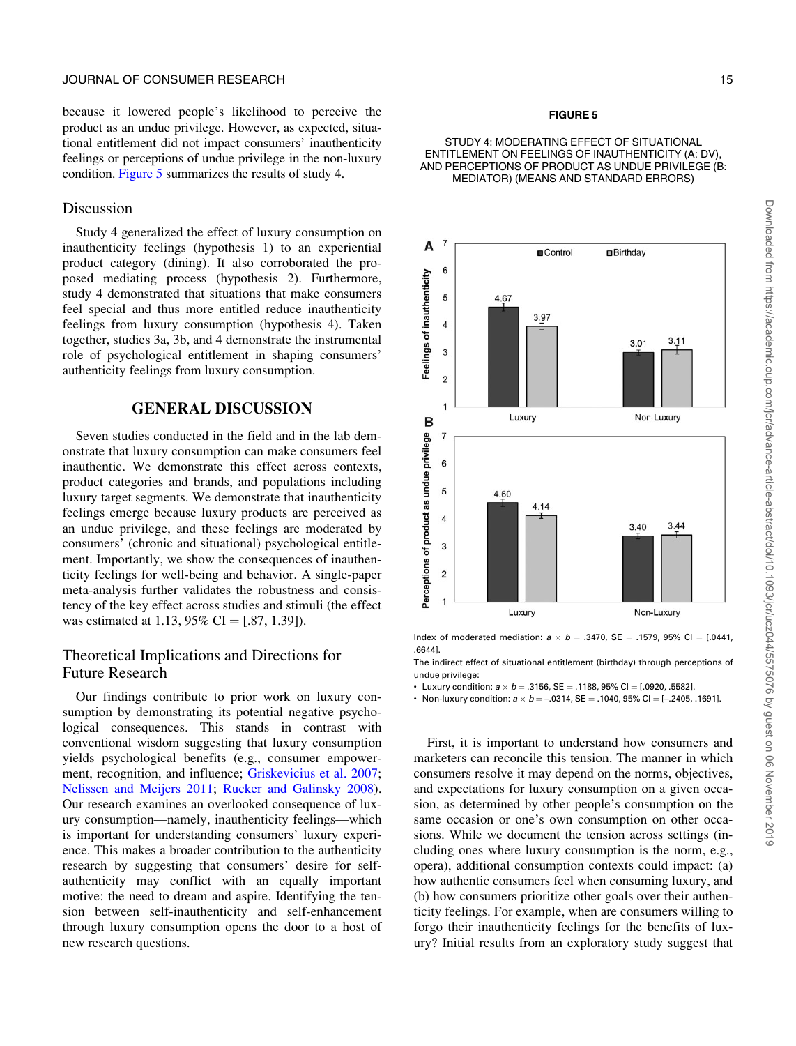because it lowered people's likelihood to perceive the product as an undue privilege. However, as expected, situational entitlement did not impact consumers' inauthenticity feelings or perceptions of undue privilege in the non-luxury condition. Figure 5 summarizes the results of study 4.

## Discussion

Study 4 generalized the effect of luxury consumption on inauthenticity feelings (hypothesis 1) to an experiential product category (dining). It also corroborated the proposed mediating process (hypothesis 2). Furthermore, study 4 demonstrated that situations that make consumers feel special and thus more entitled reduce inauthenticity feelings from luxury consumption (hypothesis 4). Taken together, studies 3a, 3b, and 4 demonstrate the instrumental role of psychological entitlement in shaping consumers' authenticity feelings from luxury consumption.

# GENERAL DISCUSSION

Seven studies conducted in the field and in the lab demonstrate that luxury consumption can make consumers feel inauthentic. We demonstrate this effect across contexts, product categories and brands, and populations including luxury target segments. We demonstrate that inauthenticity feelings emerge because luxury products are perceived as an undue privilege, and these feelings are moderated by consumers' (chronic and situational) psychological entitlement. Importantly, we show the consequences of inauthenticity feelings for well-being and behavior. A single-paper meta-analysis further validates the robustness and consistency of the key effect across studies and stimuli (the effect was estimated at 1.13, 95% CI =  $[0.87, 1.39]$ .

# Theoretical Implications and Directions for Future Research

Our findings contribute to prior work on luxury consumption by demonstrating its potential negative psychological consequences. This stands in contrast with conventional wisdom suggesting that luxury consumption yields psychological benefits (e.g., consumer empowerment, recognition, and influence; [Griskevicius et al. 2007;](#page-18-0) [Nelissen and Meijers 2011;](#page-19-0) [Rucker and Galinsky 2008\)](#page-19-0). Our research examines an overlooked consequence of luxury consumption—namely, inauthenticity feelings—which is important for understanding consumers' luxury experience. This makes a broader contribution to the authenticity research by suggesting that consumers' desire for selfauthenticity may conflict with an equally important motive: the need to dream and aspire. Identifying the tension between self-inauthenticity and self-enhancement through luxury consumption opens the door to a host of new research questions.

#### FIGURE 5

#### STUDY 4: MODERATING EFFECT OF SITUATIONAL ENTITLEMENT ON FEELINGS OF INAUTHENTICITY (A: DV), AND PERCEPTIONS OF PRODUCT AS UNDUE PRIVILEGE (B: MEDIATOR) (MEANS AND STANDARD ERRORS)



Index of moderated mediation:  $a \times b = .3470$ , SE = .1579, 95% CI = [.0441, .6644].

The indirect effect of situational entitlement (birthday) through perceptions of undue privilege:

- Luxury condition:  $a \times b = .3156$ , SE = .1188, 95% CI = [.0920, .5582].
- Non-luxury condition:  $a \times b = -.0314$ , SE = .1040, 95% CI = [-.2405, .1691].

First, it is important to understand how consumers and marketers can reconcile this tension. The manner in which consumers resolve it may depend on the norms, objectives, and expectations for luxury consumption on a given occasion, as determined by other people's consumption on the same occasion or one's own consumption on other occasions. While we document the tension across settings (including ones where luxury consumption is the norm, e.g., opera), additional consumption contexts could impact: (a) how authentic consumers feel when consuming luxury, and (b) how consumers prioritize other goals over their authenticity feelings. For example, when are consumers willing to forgo their inauthenticity feelings for the benefits of luxury? Initial results from an exploratory study suggest that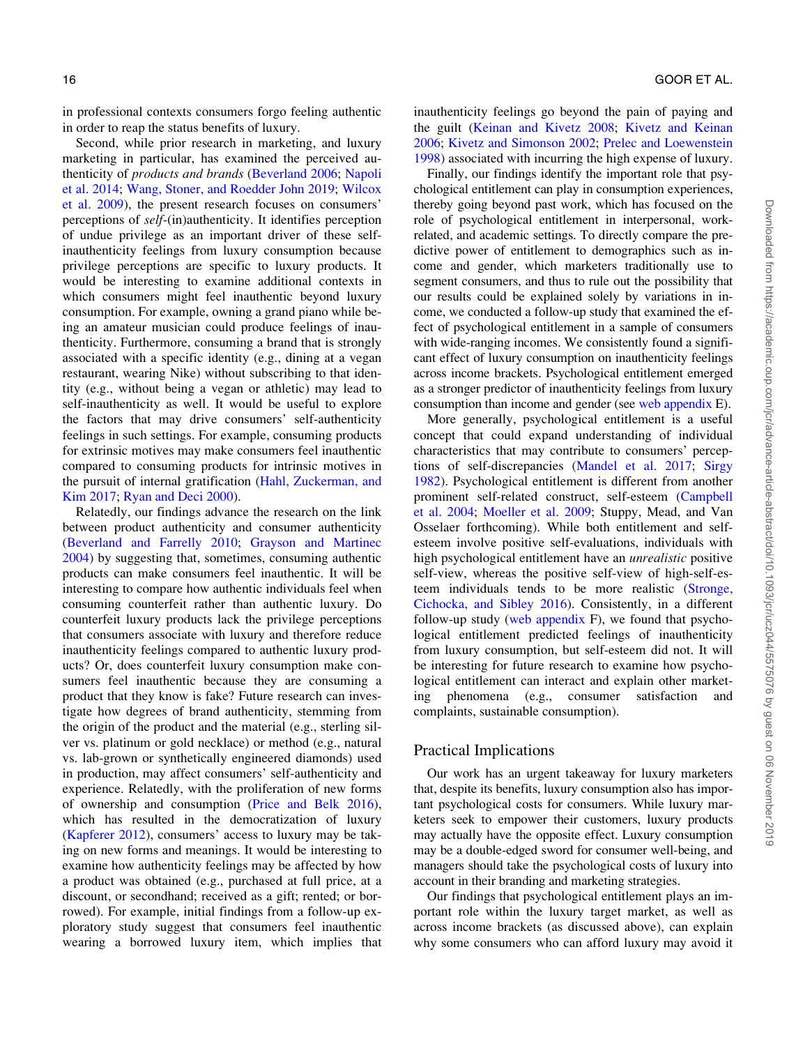in professional contexts consumers forgo feeling authentic in order to reap the status benefits of luxury.

Second, while prior research in marketing, and luxury marketing in particular, has examined the perceived authenticity of products and brands ([Beverland 2006;](#page-17-0) [Napoli](#page-19-0) [et al. 2014](#page-19-0); [Wang, Stoner, and Roedder John 2019;](#page-20-0) [Wilcox](#page-20-0) [et al. 2009\)](#page-20-0), the present research focuses on consumers' perceptions of self-(in)authenticity. It identifies perception of undue privilege as an important driver of these selfinauthenticity feelings from luxury consumption because privilege perceptions are specific to luxury products. It would be interesting to examine additional contexts in which consumers might feel inauthentic beyond luxury consumption. For example, owning a grand piano while being an amateur musician could produce feelings of inauthenticity. Furthermore, consuming a brand that is strongly associated with a specific identity (e.g., dining at a vegan restaurant, wearing Nike) without subscribing to that identity (e.g., without being a vegan or athletic) may lead to self-inauthenticity as well. It would be useful to explore the factors that may drive consumers' self-authenticity feelings in such settings. For example, consuming products for extrinsic motives may make consumers feel inauthentic compared to consuming products for intrinsic motives in the pursuit of internal gratification ([Hahl, Zuckerman, and](#page-18-0) [Kim 2017](#page-18-0); [Ryan and Deci 2000\)](#page-19-0).

Relatedly, our findings advance the research on the link between product authenticity and consumer authenticity [\(Beverland and Farrelly 2010;](#page-17-0) [Grayson and Martinec](#page-18-0) [2004\)](#page-18-0) by suggesting that, sometimes, consuming authentic products can make consumers feel inauthentic. It will be interesting to compare how authentic individuals feel when consuming counterfeit rather than authentic luxury. Do counterfeit luxury products lack the privilege perceptions that consumers associate with luxury and therefore reduce inauthenticity feelings compared to authentic luxury products? Or, does counterfeit luxury consumption make consumers feel inauthentic because they are consuming a product that they know is fake? Future research can investigate how degrees of brand authenticity, stemming from the origin of the product and the material (e.g., sterling silver vs. platinum or gold necklace) or method (e.g., natural vs. lab-grown or synthetically engineered diamonds) used in production, may affect consumers' self-authenticity and experience. Relatedly, with the proliferation of new forms of ownership and consumption ([Price and Belk 2016\)](#page-19-0), which has resulted in the democratization of luxury [\(Kapferer 2012](#page-18-0)), consumers' access to luxury may be taking on new forms and meanings. It would be interesting to examine how authenticity feelings may be affected by how a product was obtained (e.g., purchased at full price, at a discount, or secondhand; received as a gift; rented; or borrowed). For example, initial findings from a follow-up exploratory study suggest that consumers feel inauthentic wearing a borrowed luxury item, which implies that

inauthenticity feelings go beyond the pain of paying and the guilt [\(Keinan and Kivetz 2008;](#page-18-0) [Kivetz and Keinan](#page-19-0) [2006;](#page-19-0) [Kivetz and Simonson 2002;](#page-19-0) [Prelec and Loewenstein](#page-19-0) [1998\)](#page-19-0) associated with incurring the high expense of luxury.

Finally, our findings identify the important role that psychological entitlement can play in consumption experiences, thereby going beyond past work, which has focused on the role of psychological entitlement in interpersonal, workrelated, and academic settings. To directly compare the predictive power of entitlement to demographics such as income and gender, which marketers traditionally use to segment consumers, and thus to rule out the possibility that our results could be explained solely by variations in income, we conducted a follow-up study that examined the effect of psychological entitlement in a sample of consumers with wide-ranging incomes. We consistently found a significant effect of luxury consumption on inauthenticity feelings across income brackets. Psychological entitlement emerged as a stronger predictor of inauthenticity feelings from luxury consumption than income and gender (see [web appendix](https://academic.oup.com/jcr/article-lookup/doi/10.1093/jcr/ucz044#supplementary-data) E).

More generally, psychological entitlement is a useful concept that could expand understanding of individual characteristics that may contribute to consumers' perceptions of self-discrepancies [\(Mandel et al. 2017;](#page-19-0) [Sirgy](#page-19-0) [1982\)](#page-19-0). Psychological entitlement is different from another prominent self-related construct, self-esteem [\(Campbell](#page-18-0) [et al. 2004;](#page-18-0) [Moeller et al. 2009](#page-19-0); Stuppy, Mead, and Van Osselaer forthcoming). While both entitlement and selfesteem involve positive self-evaluations, individuals with high psychological entitlement have an unrealistic positive self-view, whereas the positive self-view of high-self-esteem individuals tends to be more realistic ([Stronge,](#page-19-0) [Cichocka, and Sibley 2016](#page-19-0)). Consistently, in a different follow-up study [\(web appendix](https://academic.oup.com/jcr/article-lookup/doi/10.1093/jcr/ucz044#supplementary-data)  $F$ ), we found that psychological entitlement predicted feelings of inauthenticity from luxury consumption, but self-esteem did not. It will be interesting for future research to examine how psychological entitlement can interact and explain other marketing phenomena (e.g., consumer satisfaction and complaints, sustainable consumption).

# Practical Implications

Our work has an urgent takeaway for luxury marketers that, despite its benefits, luxury consumption also has important psychological costs for consumers. While luxury marketers seek to empower their customers, luxury products may actually have the opposite effect. Luxury consumption may be a double-edged sword for consumer well-being, and managers should take the psychological costs of luxury into account in their branding and marketing strategies.

Our findings that psychological entitlement plays an important role within the luxury target market, as well as across income brackets (as discussed above), can explain why some consumers who can afford luxury may avoid it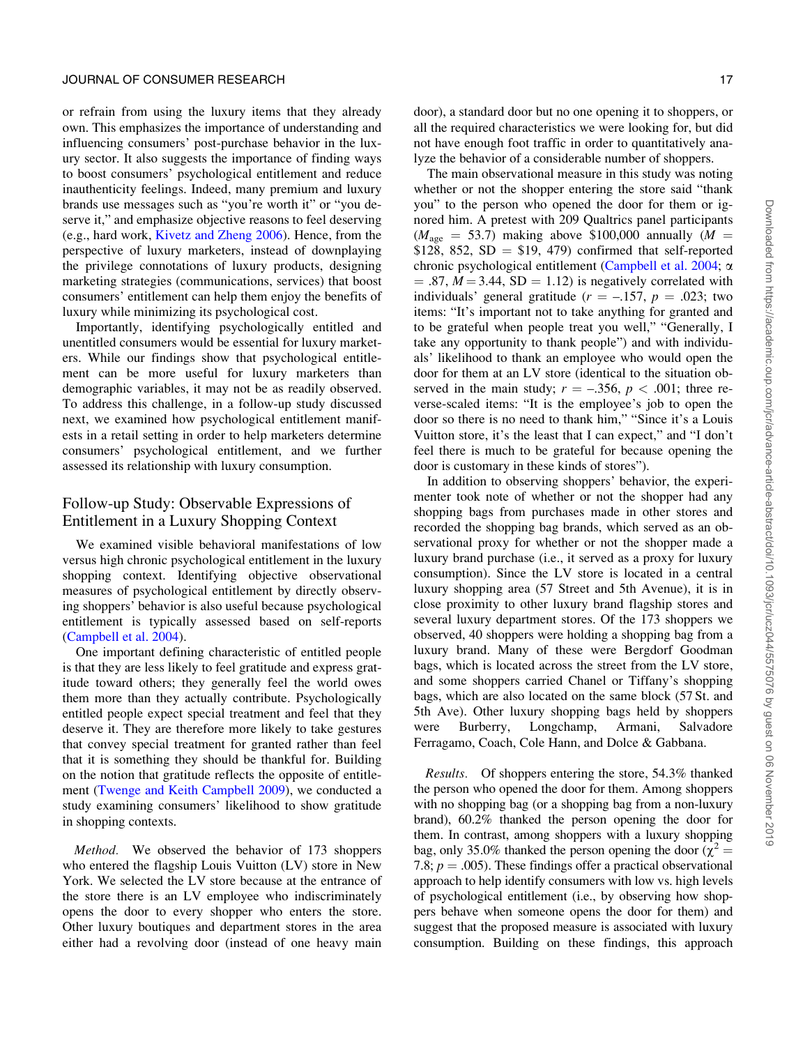or refrain from using the luxury items that they already own. This emphasizes the importance of understanding and influencing consumers' post-purchase behavior in the luxury sector. It also suggests the importance of finding ways to boost consumers' psychological entitlement and reduce inauthenticity feelings. Indeed, many premium and luxury brands use messages such as "you're worth it" or "you deserve it," and emphasize objective reasons to feel deserving (e.g., hard work, [Kivetz and Zheng 2006\)](#page-19-0). Hence, from the perspective of luxury marketers, instead of downplaying the privilege connotations of luxury products, designing marketing strategies (communications, services) that boost consumers' entitlement can help them enjoy the benefits of luxury while minimizing its psychological cost.

Importantly, identifying psychologically entitled and unentitled consumers would be essential for luxury marketers. While our findings show that psychological entitlement can be more useful for luxury marketers than demographic variables, it may not be as readily observed. To address this challenge, in a follow-up study discussed next, we examined how psychological entitlement manifests in a retail setting in order to help marketers determine consumers' psychological entitlement, and we further assessed its relationship with luxury consumption.

# Follow-up Study: Observable Expressions of Entitlement in a Luxury Shopping Context

We examined visible behavioral manifestations of low versus high chronic psychological entitlement in the luxury shopping context. Identifying objective observational measures of psychological entitlement by directly observing shoppers' behavior is also useful because psychological entitlement is typically assessed based on self-reports [\(Campbell et al. 2004\)](#page-18-0).

One important defining characteristic of entitled people is that they are less likely to feel gratitude and express gratitude toward others; they generally feel the world owes them more than they actually contribute. Psychologically entitled people expect special treatment and feel that they deserve it. They are therefore more likely to take gestures that convey special treatment for granted rather than feel that it is something they should be thankful for. Building on the notion that gratitude reflects the opposite of entitlement [\(Twenge and Keith Campbell 2009](#page-19-0)), we conducted a study examining consumers' likelihood to show gratitude in shopping contexts.

Method. We observed the behavior of 173 shoppers who entered the flagship Louis Vuitton (LV) store in New York. We selected the LV store because at the entrance of the store there is an LV employee who indiscriminately opens the door to every shopper who enters the store. Other luxury boutiques and department stores in the area either had a revolving door (instead of one heavy main

door), a standard door but no one opening it to shoppers, or all the required characteristics we were looking for, but did not have enough foot traffic in order to quantitatively analyze the behavior of a considerable number of shoppers.

The main observational measure in this study was noting whether or not the shopper entering the store said "thank you" to the person who opened the door for them or ignored him. A pretest with 209 Qualtrics panel participants  $(M<sub>age</sub> = 53.7)$  making above \$100,000 annually  $\dot{M} =$ \$128, 852,  $SD = $19, 479$  confirmed that self-reported chronic psychological entitlement ([Campbell et al. 2004](#page-18-0); a  $= .87, M = 3.44, SD = 1.12$  is negatively correlated with individuals' general gratitude ( $r = -.157$ ,  $p = .023$ ; two items: "It's important not to take anything for granted and to be grateful when people treat you well," "Generally, I take any opportunity to thank people") and with individuals' likelihood to thank an employee who would open the door for them at an LV store (identical to the situation observed in the main study;  $r = -.356$ ,  $p < .001$ ; three reverse-scaled items: "It is the employee's job to open the door so there is no need to thank him," "Since it's a Louis Vuitton store, it's the least that I can expect," and "I don't feel there is much to be grateful for because opening the door is customary in these kinds of stores").

In addition to observing shoppers' behavior, the experimenter took note of whether or not the shopper had any shopping bags from purchases made in other stores and recorded the shopping bag brands, which served as an observational proxy for whether or not the shopper made a luxury brand purchase (i.e., it served as a proxy for luxury consumption). Since the LV store is located in a central luxury shopping area (57 Street and 5th Avenue), it is in close proximity to other luxury brand flagship stores and several luxury department stores. Of the 173 shoppers we observed, 40 shoppers were holding a shopping bag from a luxury brand. Many of these were Bergdorf Goodman bags, which is located across the street from the LV store, and some shoppers carried Chanel or Tiffany's shopping bags, which are also located on the same block (57 St. and 5th Ave). Other luxury shopping bags held by shoppers were Burberry, Longchamp, Armani, Salvadore Ferragamo, Coach, Cole Hann, and Dolce & Gabbana.

Results. Of shoppers entering the store, 54.3% thanked the person who opened the door for them. Among shoppers with no shopping bag (or a shopping bag from a non-luxury brand), 60.2% thanked the person opening the door for them. In contrast, among shoppers with a luxury shopping bag, only 35.0% thanked the person opening the door ( $\chi^2$  = 7.8;  $p = .005$ ). These findings offer a practical observational approach to help identify consumers with low vs. high levels of psychological entitlement (i.e., by observing how shoppers behave when someone opens the door for them) and suggest that the proposed measure is associated with luxury consumption. Building on these findings, this approach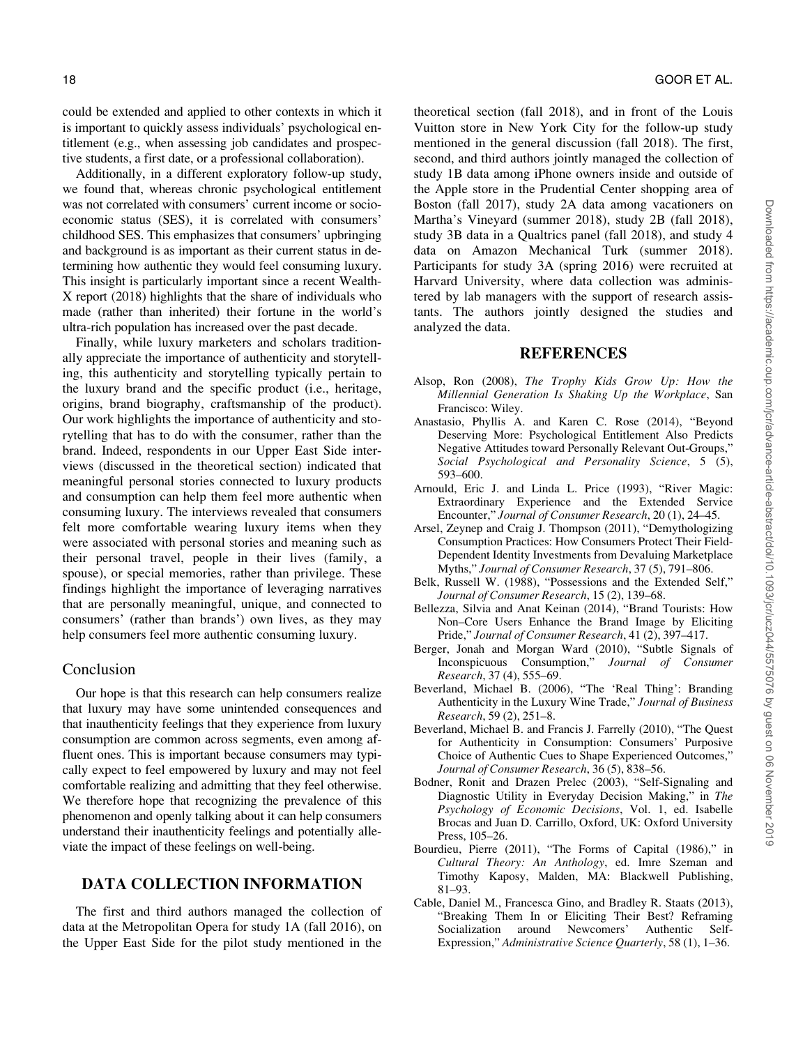could be extended and applied to other contexts in which it is important to quickly assess individuals' psychological entitlement (e.g., when assessing job candidates and prospective students, a first date, or a professional collaboration).

Additionally, in a different exploratory follow-up study, we found that, whereas chronic psychological entitlement was not correlated with consumers' current income or socioeconomic status (SES), it is correlated with consumers' childhood SES. This emphasizes that consumers' upbringing and background is as important as their current status in determining how authentic they would feel consuming luxury. This insight is particularly important since a recent Wealth-X report (2018) highlights that the share of individuals who made (rather than inherited) their fortune in the world's ultra-rich population has increased over the past decade.

Finally, while luxury marketers and scholars traditionally appreciate the importance of authenticity and storytelling, this authenticity and storytelling typically pertain to the luxury brand and the specific product (i.e., heritage, origins, brand biography, craftsmanship of the product). Our work highlights the importance of authenticity and storytelling that has to do with the consumer, rather than the brand. Indeed, respondents in our Upper East Side interviews (discussed in the theoretical section) indicated that meaningful personal stories connected to luxury products and consumption can help them feel more authentic when consuming luxury. The interviews revealed that consumers felt more comfortable wearing luxury items when they were associated with personal stories and meaning such as their personal travel, people in their lives (family, a spouse), or special memories, rather than privilege. These findings highlight the importance of leveraging narratives that are personally meaningful, unique, and connected to consumers' (rather than brands') own lives, as they may help consumers feel more authentic consuming luxury.

## Conclusion

Our hope is that this research can help consumers realize that luxury may have some unintended consequences and that inauthenticity feelings that they experience from luxury consumption are common across segments, even among affluent ones. This is important because consumers may typically expect to feel empowered by luxury and may not feel comfortable realizing and admitting that they feel otherwise. We therefore hope that recognizing the prevalence of this phenomenon and openly talking about it can help consumers understand their inauthenticity feelings and potentially alleviate the impact of these feelings on well-being.

# DATA COLLECTION INFORMATION

The first and third authors managed the collection of data at the Metropolitan Opera for study 1A (fall 2016), on the Upper East Side for the pilot study mentioned in the

<span id="page-17-0"></span>18 GOOR ET AL.

theoretical section (fall 2018), and in front of the Louis Vuitton store in New York City for the follow-up study mentioned in the general discussion (fall 2018). The first, second, and third authors jointly managed the collection of study 1B data among iPhone owners inside and outside of the Apple store in the Prudential Center shopping area of Boston (fall 2017), study 2A data among vacationers on Martha's Vineyard (summer 2018), study 2B (fall 2018), study 3B data in a Qualtrics panel (fall 2018), and study 4 data on Amazon Mechanical Turk (summer 2018). Participants for study 3A (spring 2016) were recruited at Harvard University, where data collection was administered by lab managers with the support of research assistants. The authors jointly designed the studies and analyzed the data.

## REFERENCES

- Alsop, Ron (2008), The Trophy Kids Grow Up: How the Millennial Generation Is Shaking Up the Workplace, San Francisco: Wiley.
- Anastasio, Phyllis A. and Karen C. Rose (2014), "Beyond Deserving More: Psychological Entitlement Also Predicts Negative Attitudes toward Personally Relevant Out-Groups," Social Psychological and Personality Science, 5 (5), 593–600.
- Arnould, Eric J. and Linda L. Price (1993), "River Magic: Extraordinary Experience and the Extended Service Encounter," Journal of Consumer Research, 20 (1), 24–45.
- Arsel, Zeynep and Craig J. Thompson (2011), "Demythologizing Consumption Practices: How Consumers Protect Their Field-Dependent Identity Investments from Devaluing Marketplace Myths," Journal of Consumer Research, 37 (5), 791–806.
- Belk, Russell W. (1988), "Possessions and the Extended Self," Journal of Consumer Research, 15 (2), 139–68.
- Bellezza, Silvia and Anat Keinan (2014), "Brand Tourists: How Non–Core Users Enhance the Brand Image by Eliciting Pride," Journal of Consumer Research, 41 (2), 397–417.
- Berger, Jonah and Morgan Ward (2010), "Subtle Signals of Inconspicuous Consumption," Journal of Consumer Research, 37 (4), 555–69.
- Beverland, Michael B. (2006), "The 'Real Thing': Branding Authenticity in the Luxury Wine Trade," Journal of Business Research, 59 (2), 251–8.
- Beverland, Michael B. and Francis J. Farrelly (2010), "The Quest for Authenticity in Consumption: Consumers' Purposive Choice of Authentic Cues to Shape Experienced Outcomes," Journal of Consumer Research, 36 (5), 838–56.
- Bodner, Ronit and Drazen Prelec (2003), "Self-Signaling and Diagnostic Utility in Everyday Decision Making," in The Psychology of Economic Decisions, Vol. 1, ed. Isabelle Brocas and Juan D. Carrillo, Oxford, UK: Oxford University Press, 105–26.
- Bourdieu, Pierre (2011), "The Forms of Capital (1986)," in Cultural Theory: An Anthology, ed. Imre Szeman and Timothy Kaposy, Malden, MA: Blackwell Publishing, 81–93.
- Cable, Daniel M., Francesca Gino, and Bradley R. Staats (2013), "Breaking Them In or Eliciting Their Best? Reframing Socialization around Newcomers' Authentic Self-Expression," Administrative Science Quarterly, 58 (1), 1–36.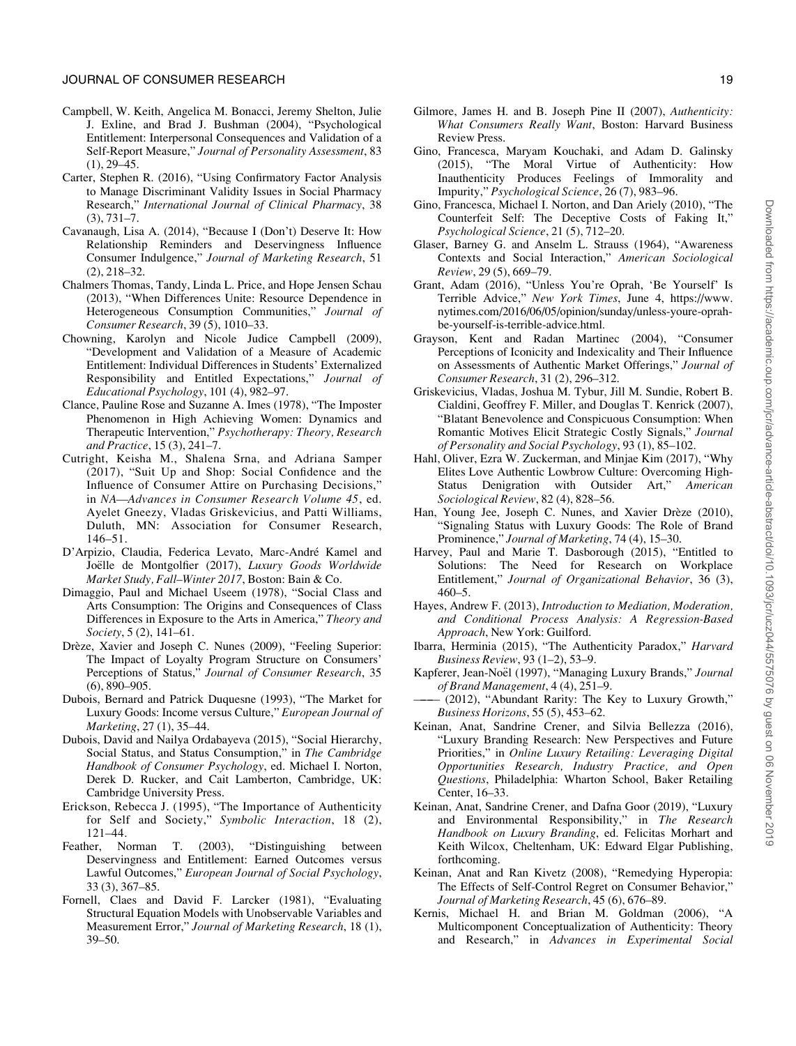#### <span id="page-18-0"></span>JOURNAL OF CONSUMER RESEARCH 19 NOTES AND THE SERVICE OF STATE AND THE SERVICE OF STATE AND THE SERVICE OF STATE AND THE SERVICE OF STATE AND THE SERVICE OF STATE AND THE SERVICE OF STATE AND THE SERVICE OF STATE AND THE S

- Campbell, W. Keith, Angelica M. Bonacci, Jeremy Shelton, Julie J. Exline, and Brad J. Bushman (2004), "Psychological Entitlement: Interpersonal Consequences and Validation of a Self-Report Measure," Journal of Personality Assessment, 83  $(1), 29-45.$
- Carter, Stephen R. (2016), "Using Confirmatory Factor Analysis to Manage Discriminant Validity Issues in Social Pharmacy Research," International Journal of Clinical Pharmacy, 38 (3), 731–7.
- Cavanaugh, Lisa A. (2014), "Because I (Don't) Deserve It: How Relationship Reminders and Deservingness Influence Consumer Indulgence," Journal of Marketing Research, 51  $(2)$ ,  $218-32$ .
- Chalmers Thomas, Tandy, Linda L. Price, and Hope Jensen Schau (2013), "When Differences Unite: Resource Dependence in Heterogeneous Consumption Communities," Journal of Consumer Research, 39 (5), 1010–33.
- Chowning, Karolyn and Nicole Judice Campbell (2009), "Development and Validation of a Measure of Academic Entitlement: Individual Differences in Students' Externalized Responsibility and Entitled Expectations," Journal of Educational Psychology, 101 (4), 982–97.
- Clance, Pauline Rose and Suzanne A. Imes (1978), "The Imposter Phenomenon in High Achieving Women: Dynamics and Therapeutic Intervention," Psychotherapy: Theory, Research and Practice, 15 (3), 241–7.
- Cutright, Keisha M., Shalena Srna, and Adriana Samper (2017), "Suit Up and Shop: Social Confidence and the Influence of Consumer Attire on Purchasing Decisions," in NA—Advances in Consumer Research Volume 45, ed. Ayelet Gneezy, Vladas Griskevicius, and Patti Williams, Duluth, MN: Association for Consumer Research, 146–51.
- D'Arpizio, Claudia, Federica Levato, Marc-André Kamel and Joëlle de Montgolfier (2017), Luxury Goods Worldwide Market Study, Fall–Winter 2017, Boston: Bain & Co.
- Dimaggio, Paul and Michael Useem (1978), "Social Class and Arts Consumption: The Origins and Consequences of Class Differences in Exposure to the Arts in America," Theory and Society, 5 (2), 141–61.
- Drèze, Xavier and Joseph C. Nunes (2009), "Feeling Superior: The Impact of Loyalty Program Structure on Consumers' Perceptions of Status," Journal of Consumer Research, 35 (6), 890–905.
- Dubois, Bernard and Patrick Duquesne (1993), "The Market for Luxury Goods: Income versus Culture," European Journal of Marketing, 27 (1), 35–44.
- Dubois, David and Nailya Ordabayeva (2015), "Social Hierarchy, Social Status, and Status Consumption," in The Cambridge Handbook of Consumer Psychology, ed. Michael I. Norton, Derek D. Rucker, and Cait Lamberton, Cambridge, UK: Cambridge University Press.
- Erickson, Rebecca J. (1995), "The Importance of Authenticity for Self and Society," Symbolic Interaction, 18 (2), 121–44.
- Feather, Norman T. (2003), "Distinguishing between Deservingness and Entitlement: Earned Outcomes versus Lawful Outcomes," European Journal of Social Psychology, 33 (3), 367–85.
- Fornell, Claes and David F. Larcker (1981), "Evaluating Structural Equation Models with Unobservable Variables and Measurement Error," Journal of Marketing Research, 18 (1), 39–50.
- Gilmore, James H. and B. Joseph Pine II (2007), Authenticity: What Consumers Really Want, Boston: Harvard Business Review Press.
- Gino, Francesca, Maryam Kouchaki, and Adam D. Galinsky (2015), "The Moral Virtue of Authenticity: How Inauthenticity Produces Feelings of Immorality and Impurity," Psychological Science, 26 (7), 983–96.
- Gino, Francesca, Michael I. Norton, and Dan Ariely (2010), "The Counterfeit Self: The Deceptive Costs of Faking It," Psychological Science, 21 (5), 712–20.
- Glaser, Barney G. and Anselm L. Strauss (1964), "Awareness Contexts and Social Interaction," American Sociological Review, 29 (5), 669–79.
- Grant, Adam (2016), "Unless You're Oprah, 'Be Yourself' Is Terrible Advice," New York Times, June 4, [https://www.](https://www.nytimes.com/2016/06/05/opinion/sunday/unless-youre-oprah-be-yourself-is-terrible-advice.html) [nytimes.com/2016/06/05/opinion/sunday/unless-youre-oprah](https://www.nytimes.com/2016/06/05/opinion/sunday/unless-youre-oprah-be-yourself-is-terrible-advice.html)[be-yourself-is-terrible-advice.html.](https://www.nytimes.com/2016/06/05/opinion/sunday/unless-youre-oprah-be-yourself-is-terrible-advice.html)
- Grayson, Kent and Radan Martinec (2004), "Consumer Perceptions of Iconicity and Indexicality and Their Influence on Assessments of Authentic Market Offerings," Journal of Consumer Research, 31 (2), 296–312.
- Griskevicius, Vladas, Joshua M. Tybur, Jill M. Sundie, Robert B. Cialdini, Geoffrey F. Miller, and Douglas T. Kenrick (2007), "Blatant Benevolence and Conspicuous Consumption: When Romantic Motives Elicit Strategic Costly Signals," Journal of Personality and Social Psychology, 93 (1), 85–102.
- Hahl, Oliver, Ezra W. Zuckerman, and Minjae Kim (2017), "Why Elites Love Authentic Lowbrow Culture: Overcoming High-Status Denigration with Outsider Art," American Sociological Review, 82 (4), 828–56.
- Han, Young Jee, Joseph C. Nunes, and Xavier Drèze (2010), "Signaling Status with Luxury Goods: The Role of Brand Prominence," Journal of Marketing, 74 (4), 15–30.
- Harvey, Paul and Marie T. Dasborough (2015), "Entitled to Solutions: The Need for Research on Workplace Entitlement," Journal of Organizational Behavior, 36 (3), 460–5.
- Hayes, Andrew F. (2013), Introduction to Mediation, Moderation, and Conditional Process Analysis: A Regression-Based Approach, New York: Guilford.
- Ibarra, Herminia (2015), "The Authenticity Paradox," Harvard Business Review, 93 (1–2), 53–9.
- Kapferer, Jean-Noël (1997), "Managing Luxury Brands," Journal of Brand Management, 4 (4), 251–9.
- $(2012)$ , "Abundant Rarity: The Key to Luxury Growth," Business Horizons, 55 (5), 453–62.
- Keinan, Anat, Sandrine Crener, and Silvia Bellezza (2016), "Luxury Branding Research: New Perspectives and Future Priorities," in Online Luxury Retailing: Leveraging Digital Opportunities Research, Industry Practice, and Open Questions, Philadelphia: Wharton School, Baker Retailing Center, 16–33.
- Keinan, Anat, Sandrine Crener, and Dafna Goor (2019), "Luxury and Environmental Responsibility," in The Research Handbook on Luxury Branding, ed. Felicitas Morhart and Keith Wilcox, Cheltenham, UK: Edward Elgar Publishing, forthcoming.
- Keinan, Anat and Ran Kivetz (2008), "Remedying Hyperopia: The Effects of Self-Control Regret on Consumer Behavior," Journal of Marketing Research, 45 (6), 676–89.
- Kernis, Michael H. and Brian M. Goldman (2006), "A Multicomponent Conceptualization of Authenticity: Theory and Research," in Advances in Experimental Social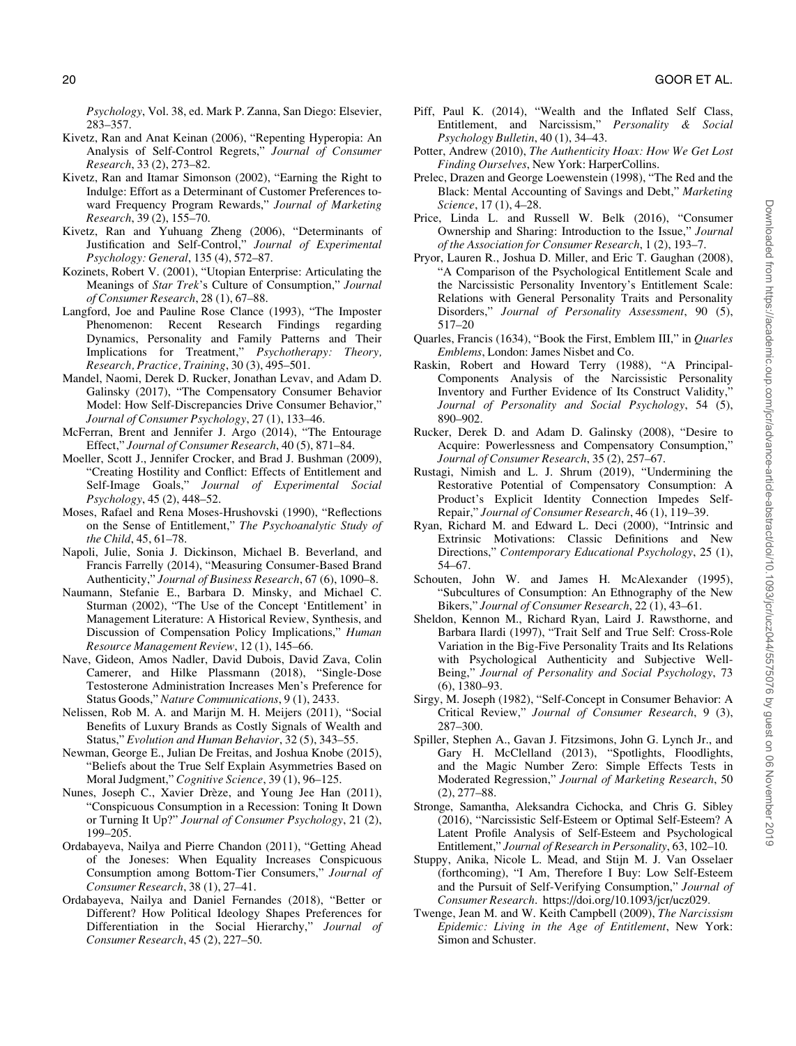<span id="page-19-0"></span>Psychology, Vol. 38, ed. Mark P. Zanna, San Diego: Elsevier, 283–357.

- Kivetz, Ran and Anat Keinan (2006), "Repenting Hyperopia: An Analysis of Self-Control Regrets," Journal of Consumer Research, 33 (2), 273–82.
- Kivetz, Ran and Itamar Simonson (2002), "Earning the Right to Indulge: Effort as a Determinant of Customer Preferences toward Frequency Program Rewards," Journal of Marketing Research, 39 (2), 155–70.
- Kivetz, Ran and Yuhuang Zheng (2006), "Determinants of Justification and Self-Control," Journal of Experimental Psychology: General, 135 (4), 572–87.
- Kozinets, Robert V. (2001), "Utopian Enterprise: Articulating the Meanings of Star Trek's Culture of Consumption," Journal of Consumer Research, 28 (1), 67–88.
- Langford, Joe and Pauline Rose Clance (1993), "The Imposter Phenomenon: Recent Research Findings regarding Dynamics, Personality and Family Patterns and Their Implications for Treatment," Psychotherapy: Theory, Research, Practice, Training, 30 (3), 495–501.
- Mandel, Naomi, Derek D. Rucker, Jonathan Levav, and Adam D. Galinsky (2017), "The Compensatory Consumer Behavior Model: How Self-Discrepancies Drive Consumer Behavior," Journal of Consumer Psychology, 27 (1), 133–46.
- McFerran, Brent and Jennifer J. Argo (2014), "The Entourage Effect," Journal of Consumer Research, 40 (5), 871–84.
- Moeller, Scott J., Jennifer Crocker, and Brad J. Bushman (2009), "Creating Hostility and Conflict: Effects of Entitlement and Self-Image Goals," Journal of Experimental Social Psychology, 45 (2), 448–52.
- Moses, Rafael and Rena Moses-Hrushovski (1990), "Reflections on the Sense of Entitlement," The Psychoanalytic Study of the Child, 45, 61–78.
- Napoli, Julie, Sonia J. Dickinson, Michael B. Beverland, and Francis Farrelly (2014), "Measuring Consumer-Based Brand Authenticity," Journal of Business Research, 67 (6), 1090–8.
- Naumann, Stefanie E., Barbara D. Minsky, and Michael C. Sturman (2002), "The Use of the Concept 'Entitlement' in Management Literature: A Historical Review, Synthesis, and Discussion of Compensation Policy Implications," Human Resource Management Review, 12 (1), 145–66.
- Nave, Gideon, Amos Nadler, David Dubois, David Zava, Colin Camerer, and Hilke Plassmann (2018), "Single-Dose Testosterone Administration Increases Men's Preference for Status Goods," Nature Communications, 9 (1), 2433.
- Nelissen, Rob M. A. and Marijn M. H. Meijers (2011), "Social Benefits of Luxury Brands as Costly Signals of Wealth and Status," Evolution and Human Behavior, 32 (5), 343–55.
- Newman, George E., Julian De Freitas, and Joshua Knobe (2015), "Beliefs about the True Self Explain Asymmetries Based on Moral Judgment," Cognitive Science, 39 (1), 96–125.
- Nunes, Joseph C., Xavier Drèze, and Young Jee Han (2011), "Conspicuous Consumption in a Recession: Toning It Down or Turning It Up?" Journal of Consumer Psychology, 21 (2), 199–205.
- Ordabayeva, Nailya and Pierre Chandon (2011), "Getting Ahead of the Joneses: When Equality Increases Conspicuous Consumption among Bottom-Tier Consumers," Journal of Consumer Research, 38 (1), 27–41.
- Ordabayeva, Nailya and Daniel Fernandes (2018), "Better or Different? How Political Ideology Shapes Preferences for Differentiation in the Social Hierarchy," Journal of Consumer Research, 45 (2), 227–50.
- Piff, Paul K. (2014), "Wealth and the Inflated Self Class, Entitlement, and Narcissism," Personality & Social Psychology Bulletin, 40 (1), 34–43.
- Potter, Andrew (2010), The Authenticity Hoax: How We Get Lost Finding Ourselves, New York: HarperCollins.
- Prelec, Drazen and George Loewenstein (1998), "The Red and the Black: Mental Accounting of Savings and Debt," Marketing Science, 17 (1), 4–28.
- Price, Linda L. and Russell W. Belk (2016), "Consumer Ownership and Sharing: Introduction to the Issue," Journal of the Association for Consumer Research, 1 (2), 193–7.
- Pryor, Lauren R., Joshua D. Miller, and Eric T. Gaughan (2008), "A Comparison of the Psychological Entitlement Scale and the Narcissistic Personality Inventory's Entitlement Scale: Relations with General Personality Traits and Personality Disorders," Journal of Personality Assessment, 90 (5), 517–20
- Quarles, Francis (1634), "Book the First, Emblem III," in Quarles Emblems, London: James Nisbet and Co.
- Raskin, Robert and Howard Terry (1988), "A Principal-Components Analysis of the Narcissistic Personality Inventory and Further Evidence of Its Construct Validity," Journal of Personality and Social Psychology, 54 (5), 890–902.
- Rucker, Derek D. and Adam D. Galinsky (2008), "Desire to Acquire: Powerlessness and Compensatory Consumption," Journal of Consumer Research, 35 (2), 257–67.
- Rustagi, Nimish and L. J. Shrum (2019), "Undermining the Restorative Potential of Compensatory Consumption: A Product's Explicit Identity Connection Impedes Self-Repair," Journal of Consumer Research, 46 (1), 119–39.
- Ryan, Richard M. and Edward L. Deci (2000), "Intrinsic and Extrinsic Motivations: Classic Definitions and New Directions," Contemporary Educational Psychology, 25 (1), 54–67.
- Schouten, John W. and James H. McAlexander (1995), "Subcultures of Consumption: An Ethnography of the New Bikers," Journal of Consumer Research, 22 (1), 43–61.
- Sheldon, Kennon M., Richard Ryan, Laird J. Rawsthorne, and Barbara Ilardi (1997), "Trait Self and True Self: Cross-Role Variation in the Big-Five Personality Traits and Its Relations with Psychological Authenticity and Subjective Well-Being," Journal of Personality and Social Psychology, 73 (6), 1380–93.
- Sirgy, M. Joseph (1982), "Self-Concept in Consumer Behavior: A Critical Review," Journal of Consumer Research, 9 (3), 287–300.
- Spiller, Stephen A., Gavan J. Fitzsimons, John G. Lynch Jr., and Gary H. McClelland (2013), "Spotlights, Floodlights, and the Magic Number Zero: Simple Effects Tests in Moderated Regression," Journal of Marketing Research, 50 (2), 277–88.
- Stronge, Samantha, Aleksandra Cichocka, and Chris G. Sibley (2016), "Narcissistic Self-Esteem or Optimal Self-Esteem? A Latent Profile Analysis of Self-Esteem and Psychological Entitlement," Journal of Research in Personality, 63, 102–10.
- Stuppy, Anika, Nicole L. Mead, and Stijn M. J. Van Osselaer (forthcoming), "I Am, Therefore I Buy: Low Self-Esteem and the Pursuit of Self-Verifying Consumption," Journal of Consumer Research. [https://doi.org/10.1093/jcr/ucz029.](https://doi.org/10.1093/jcr/ucz029)
- Twenge, Jean M. and W. Keith Campbell (2009), The Narcissism Epidemic: Living in the Age of Entitlement, New York: Simon and Schuster.